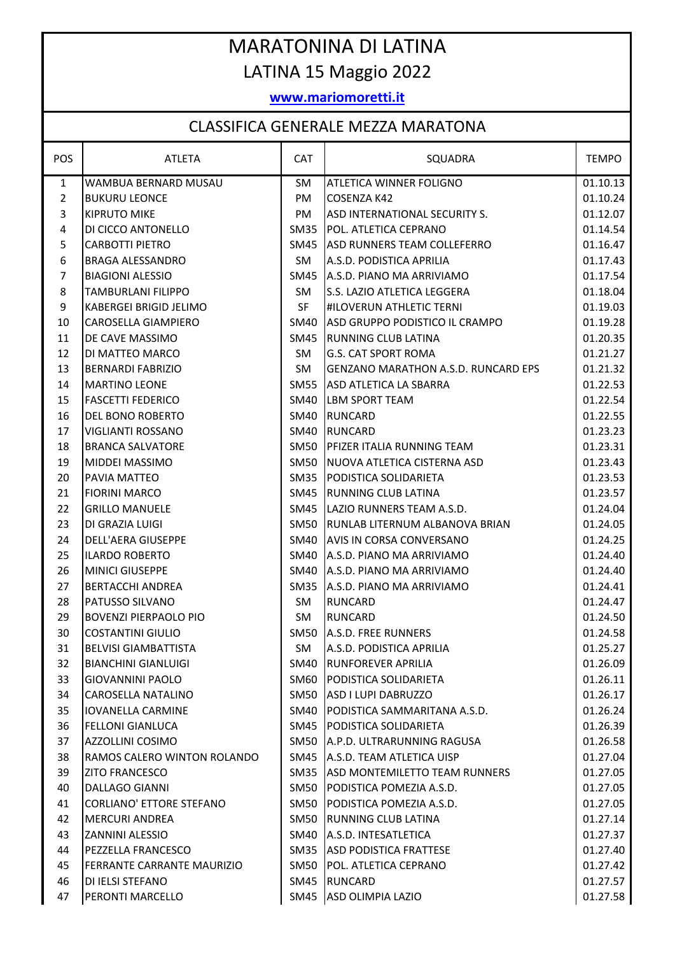## MARATONINA DI LATINA LATINA 15 Maggio 2022

## **www.mariomoretti.it**

## CLASSIFICA GENERALE MEZZA MARATONA

| POS              | <b>ATLETA</b>                   | <b>CAT</b>  | SQUADRA                                    | <b>TEMPO</b> |
|------------------|---------------------------------|-------------|--------------------------------------------|--------------|
| $\mathbf{1}$     | WAMBUA BERNARD MUSAU            | SM          | <b>ATLETICA WINNER FOLIGNO</b>             | 01.10.13     |
| $\overline{2}$   | <b>BUKURU LEONCE</b>            | PM          | <b>COSENZA K42</b>                         | 01.10.24     |
| $\overline{3}$   | <b>KIPRUTO MIKE</b>             | PM          | ASD INTERNATIONAL SECURITY S.              | 01.12.07     |
| $\sqrt{4}$       | DI CICCO ANTONELLO              | <b>SM35</b> | POL. ATLETICA CEPRANO                      | 01.14.54     |
| 5                | <b>CARBOTTI PIETRO</b>          | SM45        | ASD RUNNERS TEAM COLLEFERRO                | 01.16.47     |
| 6                | BRAGA ALESSANDRO                | SM          | A.S.D. PODISTICA APRILIA                   | 01.17.43     |
| $\overline{7}$   | <b>BIAGIONI ALESSIO</b>         | <b>SM45</b> | A.S.D. PIANO MA ARRIVIAMO                  | 01.17.54     |
| $\,8\,$          | <b>TAMBURLANI FILIPPO</b>       | SM.         | S.S. LAZIO ATLETICA LEGGERA                | 01.18.04     |
| $\boldsymbol{9}$ | KABERGEI BRIGID JELIMO          | <b>SF</b>   | #ILOVERUN ATHLETIC TERNI                   | 01.19.03     |
| 10               | CAROSELLA GIAMPIERO             | <b>SM40</b> | ASD GRUPPO PODISTICO IL CRAMPO             | 01.19.28     |
| 11               | DE CAVE MASSIMO                 | SM45        | RUNNING CLUB LATINA                        | 01.20.35     |
| 12               | DI MATTEO MARCO                 | SM          | <b>G.S. CAT SPORT ROMA</b>                 | 01.21.27     |
| 13               | <b>BERNARDI FABRIZIO</b>        | SM          | <b>GENZANO MARATHON A.S.D. RUNCARD EPS</b> | 01.21.32     |
| 14               | <b>MARTINO LEONE</b>            | <b>SM55</b> | ASD ATLETICA LA SBARRA                     | 01.22.53     |
| 15               | <b>FASCETTI FEDERICO</b>        | <b>SM40</b> | <b>LBM SPORT TEAM</b>                      | 01.22.54     |
| 16               | DEL BONO ROBERTO                | SM40        | <b>RUNCARD</b>                             | 01.22.55     |
| 17               | <b>VIGLIANTI ROSSANO</b>        | SM40        | <b>RUNCARD</b>                             | 01.23.23     |
| 18               | <b>BRANCA SALVATORE</b>         | SM50        | PFIZER ITALIA RUNNING TEAM                 | 01.23.31     |
| 19               | <b>MIDDEI MASSIMO</b>           | <b>SM50</b> | NUOVA ATLETICA CISTERNA ASD                | 01.23.43     |
| 20               | PAVIA MATTEO                    | <b>SM35</b> | PODISTICA SOLIDARIETA                      | 01.23.53     |
| 21               | <b>FIORINI MARCO</b>            | SM45        | RUNNING CLUB LATINA                        | 01.23.57     |
| 22               | <b>GRILLO MANUELE</b>           | SM45        | LAZIO RUNNERS TEAM A.S.D.                  | 01.24.04     |
| 23               | DI GRAZIA LUIGI                 | <b>SM50</b> | RUNLAB LITERNUM ALBANOVA BRIAN             | 01.24.05     |
| 24               | DELL'AERA GIUSEPPE              | SM40        | AVIS IN CORSA CONVERSANO                   | 01.24.25     |
| 25               | <b>ILARDO ROBERTO</b>           | SM40        | A.S.D. PIANO MA ARRIVIAMO                  | 01.24.40     |
| 26               | <b>MINICI GIUSEPPE</b>          | SM40        | A.S.D. PIANO MA ARRIVIAMO                  | 01.24.40     |
| 27               | <b>BERTACCHI ANDREA</b>         | <b>SM35</b> | A.S.D. PIANO MA ARRIVIAMO                  | 01.24.41     |
| 28               | PATUSSO SILVANO                 | SM          | <b>RUNCARD</b>                             | 01.24.47     |
| 29               | <b>BOVENZI PIERPAOLO PIO</b>    | SM          | <b>RUNCARD</b>                             | 01.24.50     |
| 30               | <b>COSTANTINI GIULIO</b>        | <b>SM50</b> | A.S.D. FREE RUNNERS                        | 01.24.58     |
| 31               | <b>BELVISI GIAMBATTISTA</b>     | SM          | A.S.D. PODISTICA APRILIA                   | 01.25.27     |
| 32               | <b>BIANCHINI GIANLUIGI</b>      | SM40        | <b>RUNFOREVER APRILIA</b>                  | 01.26.09     |
| 33               | <b>GIOVANNINI PAOLO</b>         | SM60        | PODISTICA SOLIDARIETA                      | 01.26.11     |
| 34               | CAROSELLA NATALINO              | SM50        | ASD I LUPI DABRUZZO                        | 01.26.17     |
| 35               | <b>IOVANELLA CARMINE</b>        | SM40        | PODISTICA SAMMARITANA A.S.D.               | 01.26.24     |
| 36               | <b>FELLONI GIANLUCA</b>         | SM45        | <b>PODISTICA SOLIDARIETA</b>               | 01.26.39     |
| 37               | <b>AZZOLLINI COSIMO</b>         | SM50        | A.P.D. ULTRARUNNING RAGUSA                 | 01.26.58     |
| 38               | RAMOS CALERO WINTON ROLANDO     | SM45        | A.S.D. TEAM ATLETICA UISP                  | 01.27.04     |
| 39               | <b>ZITO FRANCESCO</b>           | SM35        | ASD MONTEMILETTO TEAM RUNNERS              | 01.27.05     |
| 40               | DALLAGO GIANNI                  | SM50        | PODISTICA POMEZIA A.S.D.                   | 01.27.05     |
| 41               | <b>CORLIANO' ETTORE STEFANO</b> | SM50        | PODISTICA POMEZIA A.S.D.                   | 01.27.05     |
| 42               | <b>MERCURI ANDREA</b>           | SM50        | <b>RUNNING CLUB LATINA</b>                 | 01.27.14     |
| 43               | <b>ZANNINI ALESSIO</b>          | SM40        | A.S.D. INTESATLETICA                       | 01.27.37     |
| 44               | PEZZELLA FRANCESCO              | SM35        | <b>ASD PODISTICA FRATTESE</b>              | 01.27.40     |
| 45               | FERRANTE CARRANTE MAURIZIO      | SM50        | POL. ATLETICA CEPRANO                      | 01.27.42     |
| 46               | DI IELSI STEFANO                | SM45        | RUNCARD                                    | 01.27.57     |
| 47               | PERONTI MARCELLO                | SM45        | ASD OLIMPIA LAZIO                          | 01.27.58     |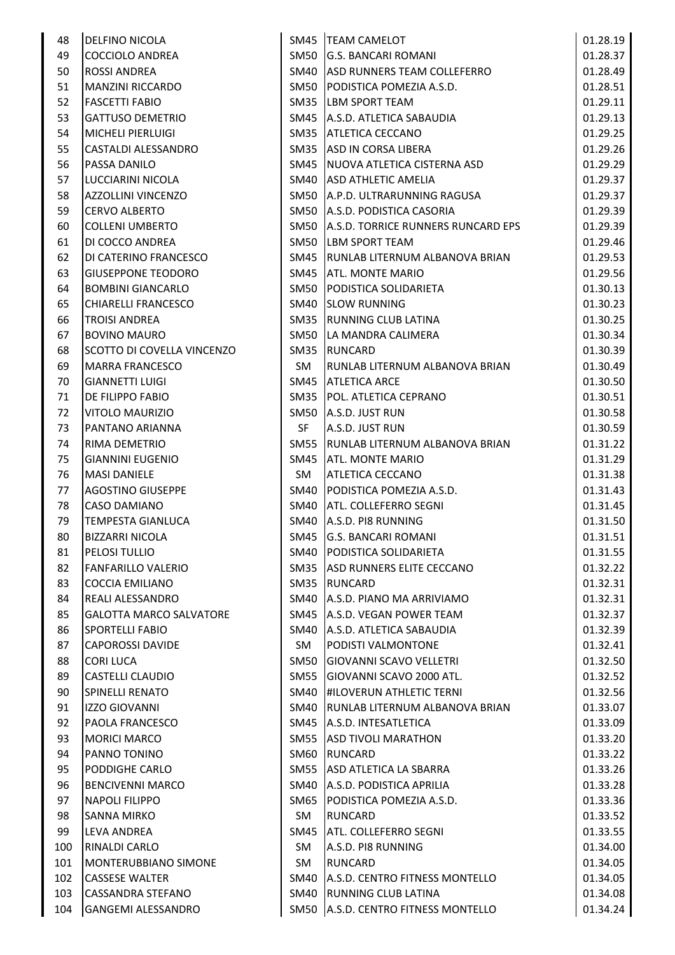| 48  | <b>DELFINO NICOLA</b>      |             | SM45  TEAM CAMELOT                 | 01.28.19 |
|-----|----------------------------|-------------|------------------------------------|----------|
| 49  | COCCIOLO ANDREA            | SM50        | <b>G.S. BANCARI ROMANI</b>         | 01.28.37 |
| 50  | <b>ROSSI ANDREA</b>        | SM40        | ASD RUNNERS TEAM COLLEFERRO        | 01.28.49 |
| 51  | <b>MANZINI RICCARDO</b>    | SM50        | PODISTICA POMEZIA A.S.D.           | 01.28.51 |
| 52  | <b>FASCETTI FABIO</b>      | SM35        | LBM SPORT TEAM                     | 01.29.11 |
| 53  | <b>GATTUSO DEMETRIO</b>    | SM45        | A.S.D. ATLETICA SABAUDIA           | 01.29.13 |
| 54  | <b>MICHELI PIERLUIGI</b>   | SM35        | <b>ATLETICA CECCANO</b>            | 01.29.25 |
| 55  | CASTALDI ALESSANDRO        | SM35        | ASD IN CORSA LIBERA                | 01.29.26 |
| 56  | <b>PASSA DANILO</b>        | SM45        | NUOVA ATLETICA CISTERNA ASD        | 01.29.29 |
| 57  | LUCCIARINI NICOLA          | SM40        | <b>ASD ATHLETIC AMELIA</b>         | 01.29.37 |
| 58  | <b>AZZOLLINI VINCENZO</b>  | SM50        | A.P.D. ULTRARUNNING RAGUSA         | 01.29.37 |
| 59  | <b>CERVO ALBERTO</b>       | SM50        | A.S.D. PODISTICA CASORIA           | 01.29.39 |
| 60  | COLLENI UMBERTO            | SM50        | A.S.D. TORRICE RUNNERS RUNCARD EPS | 01.29.39 |
| 61  | DI COCCO ANDREA            | <b>SM50</b> | <b>LBM SPORT TEAM</b>              | 01.29.46 |
| 62  | DI CATERINO FRANCESCO      | SM45        | RUNLAB LITERNUM ALBANOVA BRIAN     | 01.29.53 |
| 63  | <b>GIUSEPPONE TEODORO</b>  | SM45        | <b>ATL. MONTE MARIO</b>            | 01.29.56 |
| 64  | <b>BOMBINI GIANCARLO</b>   | SM50        | PODISTICA SOLIDARIETA              | 01.30.13 |
| 65  | <b>CHIARELLI FRANCESCO</b> | SM40        | <b>SLOW RUNNING</b>                | 01.30.23 |
| 66  | <b>TROISI ANDREA</b>       | SM35        | RUNNING CLUB LATINA                | 01.30.25 |
| 67  | <b>BOVINO MAURO</b>        | <b>SM50</b> | LA MANDRA CALIMERA                 | 01.30.34 |
| 68  | SCOTTO DI COVELLA VINCENZO | SM35        | <b>RUNCARD</b>                     | 01.30.39 |
| 69  | <b>MARRA FRANCESCO</b>     | SM          | RUNLAB LITERNUM ALBANOVA BRIAN     | 01.30.49 |
| 70  | <b>GIANNETTI LUIGI</b>     | SM45        | <b>ATLETICA ARCE</b>               | 01.30.50 |
| 71  | <b>DE FILIPPO FABIO</b>    | SM35        | POL. ATLETICA CEPRANO              | 01.30.51 |
| 72  | <b>VITOLO MAURIZIO</b>     | SM50        | A.S.D. JUST RUN                    | 01.30.58 |
| 73  | PANTANO ARIANNA            | SF          | A.S.D. JUST RUN                    | 01.30.59 |
| 74  | <b>RIMA DEMETRIO</b>       | SM55        | RUNLAB LITERNUM ALBANOVA BRIAN     | 01.31.22 |
| 75  | <b>GIANNINI EUGENIO</b>    | SM45        | ATL. MONTE MARIO                   | 01.31.29 |
| 76  | <b>MASI DANIELE</b>        | SM          | ATLETICA CECCANO                   | 01.31.38 |
| 77  | <b>AGOSTINO GIUSEPPE</b>   | SM40        | PODISTICA POMEZIA A.S.D.           | 01.31.43 |
| 78  | <b>CASO DAMIANO</b>        | SM40        | <b>ATL. COLLEFERRO SEGNI</b>       | 01.31.45 |
| 79  | <b>TEMPESTA GIANLUCA</b>   | SM40        | A.S.D. PI8 RUNNING                 | 01.31.50 |
| 80  | <b>BIZZARRI NICOLA</b>     |             | SM45 G.S. BANCARI ROMANI           | 01.31.51 |
| 81  | <b>PELOSI TULLIO</b>       |             | SM40 PODISTICA SOLIDARIETA         | 01.31.55 |
| 82  | FANFARILLO VALERIO         |             | SM35 ASD RUNNERS ELITE CECCANO     | 01.32.22 |
| 83  | <b>COCCIA EMILIANO</b>     | SM35        | <b>RUNCARD</b>                     | 01.32.31 |
| 84  | <b>REALI ALESSANDRO</b>    | SM40        | A.S.D. PIANO MA ARRIVIAMO          | 01.32.31 |
| 85  | GALOTTA MARCO SALVATORE    | SM45        | A.S.D. VEGAN POWER TEAM            | 01.32.37 |
| 86  | <b>SPORTELLI FABIO</b>     | SM40        | A.S.D. ATLETICA SABAUDIA           | 01.32.39 |
| 87  | <b>CAPOROSSI DAVIDE</b>    | SM          | PODISTI VALMONTONE                 | 01.32.41 |
| 88  | <b>CORI LUCA</b>           | SM50        | <b>GIOVANNI SCAVO VELLETRI</b>     | 01.32.50 |
| 89  | <b>CASTELLI CLAUDIO</b>    | SM55        | GIOVANNI SCAVO 2000 ATL.           | 01.32.52 |
| 90  | <b>SPINELLI RENATO</b>     | SM40        | <b>#ILOVERUN ATHLETIC TERNI</b>    | 01.32.56 |
| 91  | <b>IZZO GIOVANNI</b>       | SM40        | RUNLAB LITERNUM ALBANOVA BRIAN     | 01.33.07 |
| 92  | <b>PAOLA FRANCESCO</b>     | SM45        | A.S.D. INTESATLETICA               | 01.33.09 |
| 93  | <b>MORICI MARCO</b>        | SM55        | <b>ASD TIVOLI MARATHON</b>         | 01.33.20 |
| 94  | PANNO TONINO               | SM60        | RUNCARD                            | 01.33.22 |
| 95  | <b>PODDIGHE CARLO</b>      | SM55        | ASD ATLETICA LA SBARRA             | 01.33.26 |
| 96  | <b>BENCIVENNI MARCO</b>    | SM40        | A.S.D. PODISTICA APRILIA           | 01.33.28 |
| 97  | <b>NAPOLI FILIPPO</b>      | SM65        | PODISTICA POMEZIA A.S.D.           | 01.33.36 |
| 98  | <b>SANNA MIRKO</b>         | SM          | <b>RUNCARD</b>                     | 01.33.52 |
| 99  | LEVA ANDREA                | SM45        | ATL. COLLEFERRO SEGNI              | 01.33.55 |
| 100 | <b>RINALDI CARLO</b>       | SM          | A.S.D. PI8 RUNNING                 | 01.34.00 |
| 101 | MONTERUBBIANO SIMONE       | SM          | <b>RUNCARD</b>                     | 01.34.05 |
| 102 | <b>CASSESE WALTER</b>      | SM40        | A.S.D. CENTRO FITNESS MONTELLO     | 01.34.05 |
| 103 | CASSANDRA STEFANO          | SM40        | RUNNING CLUB LATINA                | 01.34.08 |
| 104 | GANGEMI ALESSANDRO         | SM50        | A.S.D. CENTRO FITNESS MONTELLO     | 01.34.24 |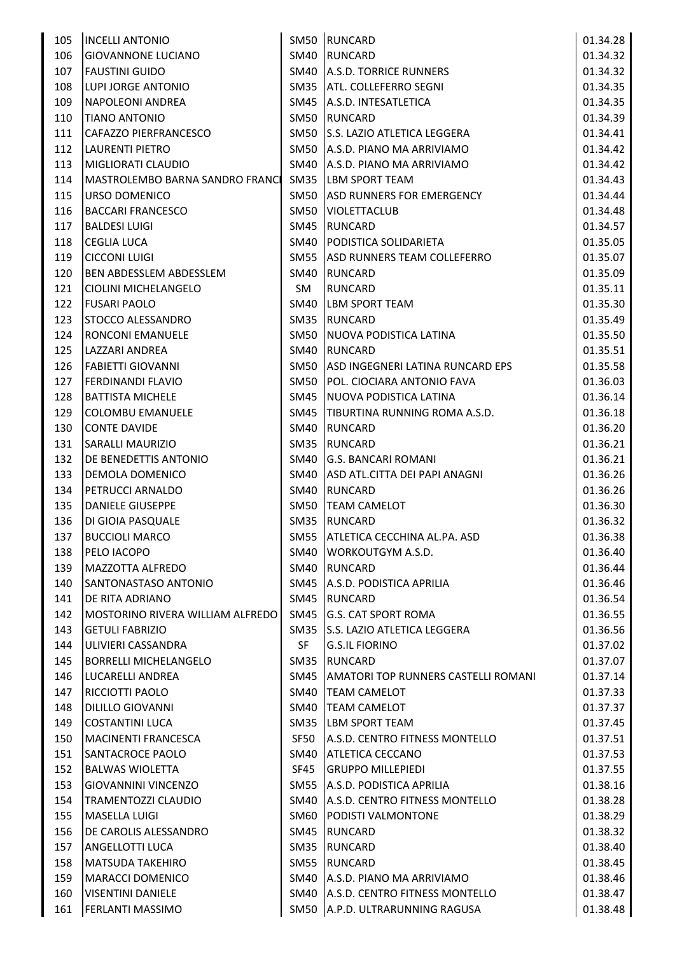| 105 | <b>INCELLI ANTONIO</b>           |             | SM50 RUNCARD                               | 01.34.28 |
|-----|----------------------------------|-------------|--------------------------------------------|----------|
| 106 | <b>GIOVANNONE LUCIANO</b>        |             | SM40 RUNCARD                               | 01.34.32 |
| 107 | <b>FAUSTINI GUIDO</b>            |             | SM40 A.S.D. TORRICE RUNNERS                | 01.34.32 |
| 108 | LUPI JORGE ANTONIO               |             | SM35   ATL. COLLEFERRO SEGNI               | 01.34.35 |
| 109 | NAPOLEONI ANDREA                 |             | SM45 A.S.D. INTESATLETICA                  | 01.34.35 |
| 110 | <b>TIANO ANTONIO</b>             |             | SM50 RUNCARD                               | 01.34.39 |
| 111 | CAFAZZO PIERFRANCESCO            |             | SM50 S.S. LAZIO ATLETICA LEGGERA           | 01.34.41 |
| 112 | LAURENTI PIETRO                  |             | SM50 A.S.D. PIANO MA ARRIVIAMO             | 01.34.42 |
| 113 | MIGLIORATI CLAUDIO               |             | SM40 A.S.D. PIANO MA ARRIVIAMO             | 01.34.42 |
| 114 | MASTROLEMBO BARNA SANDRO FRANCI  |             | SM35 LBM SPORT TEAM                        | 01.34.43 |
| 115 | <b>URSO DOMENICO</b>             |             | SM50 ASD RUNNERS FOR EMERGENCY             | 01.34.44 |
| 116 | <b>BACCARI FRANCESCO</b>         |             | SM50   VIOLETTACLUB                        | 01.34.48 |
| 117 | <b>BALDESI LUIGI</b>             |             | SM45 RUNCARD                               | 01.34.57 |
| 118 | <b>CEGLIA LUCA</b>               |             | SM40   PODISTICA SOLIDARIETA               | 01.35.05 |
| 119 | <b>CICCONI LUIGI</b>             |             | SM55 ASD RUNNERS TEAM COLLEFERRO           | 01.35.07 |
| 120 | <b>BEN ABDESSLEM ABDESSLEM</b>   |             | SM40 RUNCARD                               | 01.35.09 |
| 121 | CIOLINI MICHELANGELO             | SM          | RUNCARD                                    | 01.35.11 |
| 122 | <b>FUSARI PAOLO</b>              | SM40        | <b>LBM SPORT TEAM</b>                      | 01.35.30 |
| 123 | STOCCO ALESSANDRO                | SM35        | <b>RUNCARD</b>                             | 01.35.49 |
| 124 | <b>RONCONI EMANUELE</b>          |             | SM50 NUOVA PODISTICA LATINA                | 01.35.50 |
| 125 | LAZZARI ANDREA                   |             | SM40 RUNCARD                               | 01.35.51 |
| 126 | <b>FABIETTI GIOVANNI</b>         |             | SM50 ASD INGEGNERI LATINA RUNCARD EPS      | 01.35.58 |
| 127 | <b>FERDINANDI FLAVIO</b>         |             | SM50   POL. CIOCIARA ANTONIO FAVA          | 01.36.03 |
| 128 | <b>BATTISTA MICHELE</b>          |             | SM45   NUOVA PODISTICA LATINA              | 01.36.14 |
| 129 | COLOMBU EMANUELE                 |             | SM45 TIBURTINA RUNNING ROMA A.S.D.         | 01.36.18 |
| 130 | <b>CONTE DAVIDE</b>              | SM40        | <b>RUNCARD</b>                             | 01.36.20 |
| 131 | <b>SARALLI MAURIZIO</b>          | <b>SM35</b> | <b>RUNCARD</b>                             | 01.36.21 |
| 132 | <b>DE BENEDETTIS ANTONIO</b>     |             | SM40 G.S. BANCARI ROMANI                   | 01.36.21 |
| 133 | <b>DEMOLA DOMENICO</b>           |             | SM40 ASD ATL.CITTA DEI PAPI ANAGNI         | 01.36.26 |
| 134 | <b>PETRUCCI ARNALDO</b>          |             | SM40 RUNCARD                               | 01.36.26 |
| 135 | <b>DANIELE GIUSEPPE</b>          |             | SM50 TEAM CAMELOT                          | 01.36.30 |
| 136 | DI GIOIA PASQUALE                |             | SM35 RUNCARD                               | 01.36.32 |
|     | 137 BUCCIOLI MARCO               |             | SM55 ATLETICA CECCHINA AL.PA. ASD          | 01.36.38 |
| 138 | PELO IACOPO                      |             | SM40 WORKOUTGYM A.S.D.                     | 01.36.40 |
| 139 | MAZZOTTA ALFREDO                 |             | SM40 RUNCARD                               | 01.36.44 |
| 140 | SANTONASTASO ANTONIO             |             | SM45 A.S.D. PODISTICA APRILIA              | 01.36.46 |
| 141 | <b>DE RITA ADRIANO</b>           |             | SM45 RUNCARD                               | 01.36.54 |
| 142 | MOSTORINO RIVERA WILLIAM ALFREDO |             | SM45 G.S. CAT SPORT ROMA                   | 01.36.55 |
| 143 | <b>GETULI FABRIZIO</b>           |             | SM35 S.S. LAZIO ATLETICA LEGGERA           | 01.36.56 |
| 144 | ULIVIERI CASSANDRA               | SF.         | <b>G.S.IL FIORINO</b>                      | 01.37.02 |
| 145 | <b>BORRELLI MICHELANGELO</b>     | SM35        | RUNCARD                                    | 01.37.07 |
| 146 | LUCARELLI ANDREA                 |             | SM45   AMATORI TOP RUNNERS CASTELLI ROMANI | 01.37.14 |
| 147 | RICCIOTTI PAOLO                  |             | SM40   TEAM CAMELOT                        | 01.37.33 |
| 148 | DILILLO GIOVANNI                 | SM40        | <b>TEAM CAMELOT</b>                        | 01.37.37 |
| 149 | <b>COSTANTINI LUCA</b>           |             | SM35  LBM SPORT TEAM                       | 01.37.45 |
| 150 | <b>MACINENTI FRANCESCA</b>       | SF50        | A.S.D. CENTRO FITNESS MONTELLO             | 01.37.51 |
| 151 | <b>SANTACROCE PAOLO</b>          |             | SM40 ATLETICA CECCANO                      | 01.37.53 |
| 152 | <b>BALWAS WIOLETTA</b>           | SF45        | <b>GRUPPO MILLEPIEDI</b>                   | 01.37.55 |
| 153 | GIOVANNINI VINCENZO              |             | SM55 A.S.D. PODISTICA APRILIA              | 01.38.16 |
| 154 | TRAMENTOZZI CLAUDIO              |             | SM40 A.S.D. CENTRO FITNESS MONTELLO        | 01.38.28 |
| 155 | MASELLA LUIGI                    |             | SM60 PODISTI VALMONTONE                    | 01.38.29 |
| 156 | DE CAROLIS ALESSANDRO            | SM45        | <b>RUNCARD</b>                             | 01.38.32 |
| 157 | <b>ANGELLOTTI LUCA</b>           |             | SM35 RUNCARD                               | 01.38.40 |
| 158 | MATSUDA TAKEHIRO                 |             | SM55 RUNCARD                               | 01.38.45 |
| 159 | <b>MARACCI DOMENICO</b>          |             | SM40 A.S.D. PIANO MA ARRIVIAMO             | 01.38.46 |
| 160 | <b>VISENTINI DANIELE</b>         |             | SM40 A.S.D. CENTRO FITNESS MONTELLO        | 01.38.47 |
| 161 | <b>FERLANTI MASSIMO</b>          |             | SM50 A.P.D. ULTRARUNNING RAGUSA            | 01.38.48 |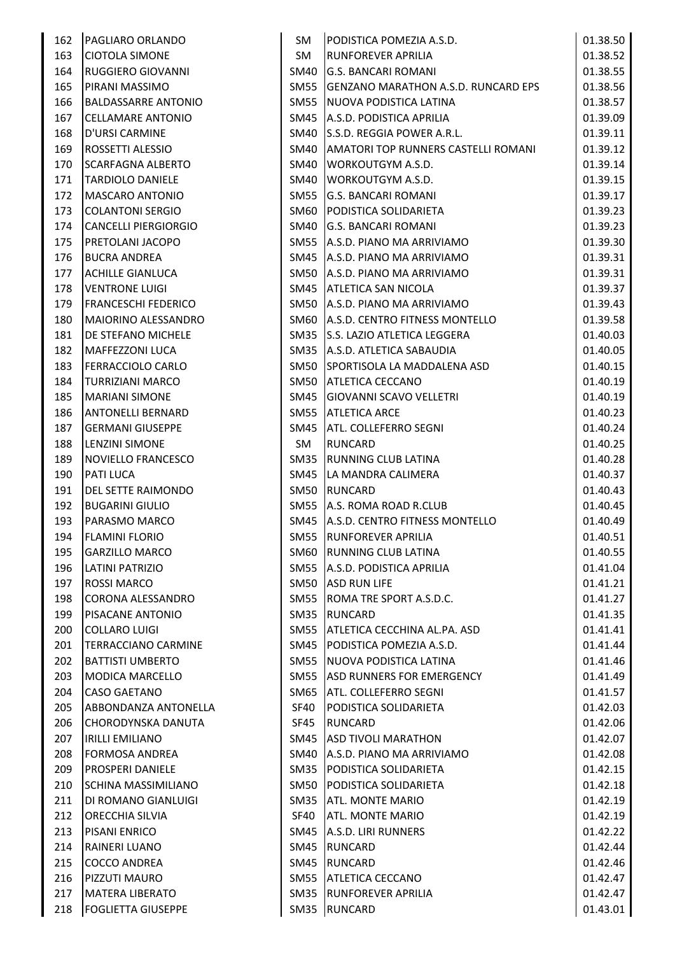| 162 | <b>PAGLIARO ORLANDO</b>    | SM   | PODISTICA POMEZIA A.S.D.                   | 01.38.50 |
|-----|----------------------------|------|--------------------------------------------|----------|
| 163 | <b>CIOTOLA SIMONE</b>      | SM   | <b>RUNFOREVER APRILIA</b>                  | 01.38.52 |
| 164 | <b>RUGGIERO GIOVANNI</b>   | SM40 | <b>G.S. BANCARI ROMANI</b>                 | 01.38.55 |
| 165 | PIRANI MASSIMO             | SM55 | <b>GENZANO MARATHON A.S.D. RUNCARD EPS</b> | 01.38.56 |
| 166 | <b>BALDASSARRE ANTONIO</b> | SM55 | NUOVA PODISTICA LATINA                     | 01.38.57 |
| 167 | <b>CELLAMARE ANTONIO</b>   | SM45 | A.S.D. PODISTICA APRILIA                   | 01.39.09 |
| 168 | D'URSI CARMINE             | SM40 | S.S.D. REGGIA POWER A.R.L.                 | 01.39.11 |
| 169 | ROSSETTI ALESSIO           | SM40 | <b>AMATORI TOP RUNNERS CASTELLI ROMANI</b> | 01.39.12 |
| 170 | <b>SCARFAGNA ALBERTO</b>   | SM40 | <b>WORKOUTGYM A.S.D.</b>                   | 01.39.14 |
| 171 | <b>TARDIOLO DANIELE</b>    | SM40 | <b>WORKOUTGYM A.S.D.</b>                   | 01.39.15 |
| 172 | <b>MASCARO ANTONIO</b>     | SM55 | <b>G.S. BANCARI ROMANI</b>                 | 01.39.17 |
| 173 | <b>COLANTONI SERGIO</b>    | SM60 | PODISTICA SOLIDARIETA                      | 01.39.23 |
| 174 | CANCELLI PIERGIORGIO       | SM40 | <b>G.S. BANCARI ROMANI</b>                 | 01.39.23 |
| 175 | <b>PRETOLANI JACOPO</b>    |      | SM55 A.S.D. PIANO MA ARRIVIAMO             | 01.39.30 |
| 176 | <b>BUCRA ANDREA</b>        |      | SM45 A.S.D. PIANO MA ARRIVIAMO             | 01.39.31 |
| 177 | <b>ACHILLE GIANLUCA</b>    |      | SM50 A.S.D. PIANO MA ARRIVIAMO             | 01.39.31 |
| 178 | <b>VENTRONE LUIGI</b>      |      | SM45 ATLETICA SAN NICOLA                   | 01.39.37 |
| 179 | <b>FRANCESCHI FEDERICO</b> |      | SM50 A.S.D. PIANO MA ARRIVIAMO             | 01.39.43 |
| 180 | MAIORINO ALESSANDRO        |      | SM60 A.S.D. CENTRO FITNESS MONTELLO        | 01.39.58 |
| 181 | <b>DE STEFANO MICHELE</b>  |      | SM35 S.S. LAZIO ATLETICA LEGGERA           | 01.40.03 |
| 182 | MAFFEZZONI LUCA            |      | SM35 A.S.D. ATLETICA SABAUDIA              | 01.40.05 |
| 183 | FERRACCIOLO CARLO          |      | SM50 SPORTISOLA LA MADDALENA ASD           | 01.40.15 |
| 184 | <b>TURRIZIANI MARCO</b>    | SM50 | <b>ATLETICA CECCANO</b>                    | 01.40.19 |
| 185 | <b>MARIANI SIMONE</b>      | SM45 | <b>GIOVANNI SCAVO VELLETRI</b>             | 01.40.19 |
| 186 | <b>ANTONELLI BERNARD</b>   | SM55 | <b>ATLETICA ARCE</b>                       | 01.40.23 |
| 187 | <b>GERMANI GIUSEPPE</b>    | SM45 | <b>ATL. COLLEFERRO SEGNI</b>               | 01.40.24 |
| 188 | <b>LENZINI SIMONE</b>      | SM   | <b>RUNCARD</b>                             | 01.40.25 |
| 189 | NOVIELLO FRANCESCO         | SM35 | <b>RUNNING CLUB LATINA</b>                 | 01.40.28 |
| 190 | PATI LUCA                  |      | SM45   LA MANDRA CALIMERA                  | 01.40.37 |
| 191 | <b>DEL SETTE RAIMONDO</b>  | SM50 | <b>RUNCARD</b>                             | 01.40.43 |
| 192 | <b>BUGARINI GIULIO</b>     |      | SM55 A.S. ROMA ROAD R.CLUB                 | 01.40.45 |
| 193 | PARASMO MARCO              |      | SM45 A.S.D. CENTRO FITNESS MONTELLO        | 01.40.49 |
| 194 | <b>FLAMINI FLORIO</b>      |      | SM55 RUNFOREVER APRILIA                    | 01.40.51 |
| 195 | <b>GARZILLO MARCO</b>      |      | SM60 RUNNING CLUB LATINA                   | 01.40.55 |
| 196 | LATINI PATRIZIO            |      | SM55 A.S.D. PODISTICA APRILIA              | 01.41.04 |
| 197 | <b>ROSSI MARCO</b>         |      | SM50 ASD RUN LIFE                          | 01.41.21 |
| 198 | <b>CORONA ALESSANDRO</b>   |      | SM55 ROMA TRE SPORT A.S.D.C.               | 01.41.27 |
| 199 | <b>PISACANE ANTONIO</b>    | SM35 | RUNCARD                                    | 01.41.35 |
| 200 | <b>COLLARO LUIGI</b>       |      | SM55 ATLETICA CECCHINA AL.PA. ASD          | 01.41.41 |
| 201 | TERRACCIANO CARMINE        |      | SM45   PODISTICA POMEZIA A.S.D.            | 01.41.44 |
| 202 | <b>BATTISTI UMBERTO</b>    |      | SM55 NUOVA PODISTICA LATINA                | 01.41.46 |
| 203 | <b>MODICA MARCELLO</b>     |      | SM55 ASD RUNNERS FOR EMERGENCY             | 01.41.49 |
| 204 | <b>CASO GAETANO</b>        | SM65 | <b>ATL. COLLEFERRO SEGNI</b>               | 01.41.57 |
| 205 | ABBONDANZA ANTONELLA       | SF40 | PODISTICA SOLIDARIETA                      | 01.42.03 |
| 206 | CHORODYNSKA DANUTA         | SF45 | RUNCARD                                    | 01.42.06 |
| 207 | <b>IRILLI EMILIANO</b>     |      | SM45 ASD TIVOLI MARATHON                   | 01.42.07 |
| 208 | FORMOSA ANDREA             |      | SM40 A.S.D. PIANO MA ARRIVIAMO             | 01.42.08 |
| 209 | <b>PROSPERI DANIELE</b>    |      | SM35   PODISTICA SOLIDARIETA               | 01.42.15 |
| 210 | SCHINA MASSIMILIANO        | SM50 | <b>PODISTICA SOLIDARIETA</b>               | 01.42.18 |
| 211 | DI ROMANO GIANLUIGI        |      | SM35 ATL. MONTE MARIO                      | 01.42.19 |
| 212 | <b>ORECCHIA SILVIA</b>     | SF40 | <b>ATL. MONTE MARIO</b>                    | 01.42.19 |
| 213 | <b>PISANI ENRICO</b>       | SM45 | A.S.D. LIRI RUNNERS                        | 01.42.22 |
| 214 | <b>RAINERI LUANO</b>       | SM45 | <b>RUNCARD</b>                             | 01.42.44 |
| 215 | <b>COCCO ANDREA</b>        |      | SM45 RUNCARD                               | 01.42.46 |
| 216 | PIZZUTI MAURO              |      | SM55 ATLETICA CECCANO                      | 01.42.47 |
| 217 | <b>MATERA LIBERATO</b>     |      | SM35 RUNFOREVER APRILIA                    | 01.42.47 |
| 218 | <b>FOGLIETTA GIUSEPPE</b>  |      | SM35 RUNCARD                               | 01.43.01 |
|     |                            |      |                                            |          |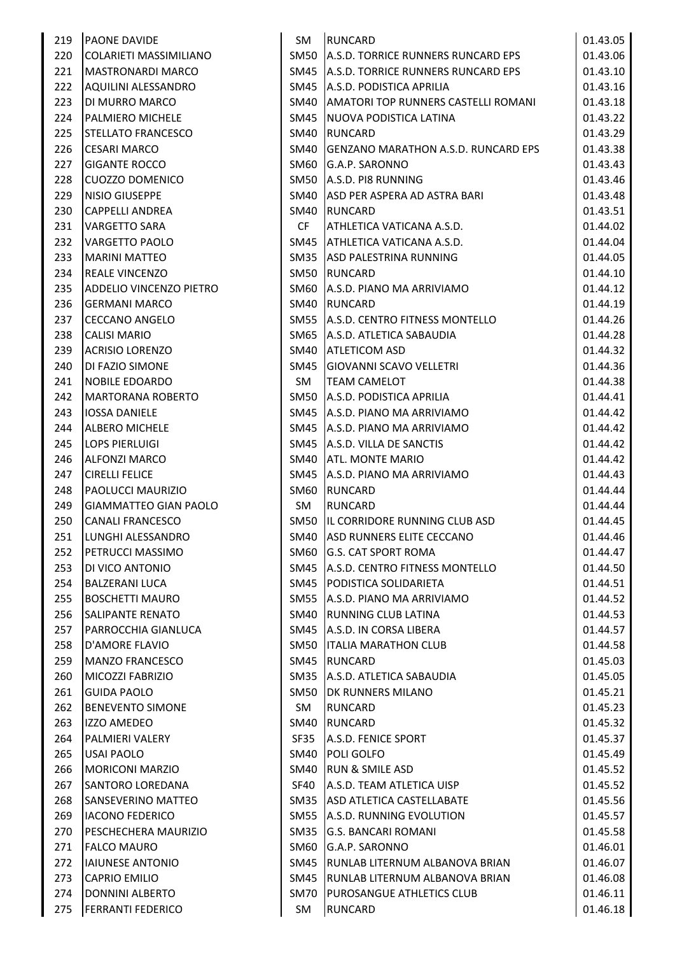| 219 | <b>PAONE DAVIDE</b>          | SM   | <b>RUNCARD</b>                             | 01.43.05 |
|-----|------------------------------|------|--------------------------------------------|----------|
| 220 | COLARIETI MASSIMILIANO       | SM50 | A.S.D. TORRICE RUNNERS RUNCARD EPS         | 01.43.06 |
| 221 | <b>MASTRONARDI MARCO</b>     |      | SM45 A.S.D. TORRICE RUNNERS RUNCARD EPS    | 01.43.10 |
| 222 | AQUILINI ALESSANDRO          |      | SM45 A.S.D. PODISTICA APRILIA              | 01.43.16 |
| 223 | DI MURRO MARCO               |      | SM40 AMATORI TOP RUNNERS CASTELLI ROMANI   | 01.43.18 |
| 224 | PALMIERO MICHELE             | SM45 | NUOVA PODISTICA LATINA                     | 01.43.22 |
| 225 | <b>STELLATO FRANCESCO</b>    | SM40 | <b>RUNCARD</b>                             | 01.43.29 |
| 226 | <b>CESARI MARCO</b>          | SM40 | <b>GENZANO MARATHON A.S.D. RUNCARD EPS</b> | 01.43.38 |
| 227 | <b>GIGANTE ROCCO</b>         | SM60 | G.A.P. SARONNO                             | 01.43.43 |
| 228 | <b>CUOZZO DOMENICO</b>       |      | SM50 A.S.D. PI8 RUNNING                    | 01.43.46 |
| 229 | NISIO GIUSEPPE               | SM40 | ASD PER ASPERA AD ASTRA BARI               | 01.43.48 |
| 230 | <b>CAPPELLI ANDREA</b>       | SM40 | <b>RUNCARD</b>                             | 01.43.51 |
| 231 | <b>VARGETTO SARA</b>         | CF.  | ATHLETICA VATICANA A.S.D.                  | 01.44.02 |
| 232 | <b>VARGETTO PAOLO</b>        |      | SM45 ATHLETICA VATICANA A.S.D.             | 01.44.04 |
| 233 | <b>MARINI MATTEO</b>         |      | SM35 ASD PALESTRINA RUNNING                | 01.44.05 |
| 234 | <b>REALE VINCENZO</b>        | SM50 | RUNCARD                                    | 01.44.10 |
| 235 | ADDELIO VINCENZO PIETRO      | SM60 | A.S.D. PIANO MA ARRIVIAMO                  | 01.44.12 |
| 236 | <b>GERMANI MARCO</b>         | SM40 | <b>RUNCARD</b>                             | 01.44.19 |
| 237 | <b>CECCANO ANGELO</b>        |      | SM55 A.S.D. CENTRO FITNESS MONTELLO        | 01.44.26 |
| 238 | <b>CALISI MARIO</b>          |      | SM65 A.S.D. ATLETICA SABAUDIA              | 01.44.28 |
| 239 | <b>ACRISIO LORENZO</b>       |      | SM40 ATLETICOM ASD                         | 01.44.32 |
| 240 | DI FAZIO SIMONE              | SM45 | <b>GIOVANNI SCAVO VELLETRI</b>             | 01.44.36 |
| 241 | <b>NOBILE EDOARDO</b>        | SM   | <b>TEAM CAMELOT</b>                        | 01.44.38 |
| 242 | <b>MARTORANA ROBERTO</b>     | SM50 | A.S.D. PODISTICA APRILIA                   | 01.44.41 |
| 243 | <b>IOSSA DANIELE</b>         |      | SM45 A.S.D. PIANO MA ARRIVIAMO             | 01.44.42 |
| 244 | <b>ALBERO MICHELE</b>        |      | SM45 A.S.D. PIANO MA ARRIVIAMO             | 01.44.42 |
| 245 | <b>LOPS PIERLUIGI</b>        |      | SM45   A.S.D. VILLA DE SANCTIS             | 01.44.42 |
| 246 | <b>ALFONZI MARCO</b>         |      | SM40 ATL. MONTE MARIO                      | 01.44.42 |
| 247 | <b>CIRELLI FELICE</b>        | SM45 | A.S.D. PIANO MA ARRIVIAMO                  | 01.44.43 |
| 248 | PAOLUCCI MAURIZIO            | SM60 | <b>RUNCARD</b>                             | 01.44.44 |
| 249 | <b>GIAMMATTEO GIAN PAOLO</b> | SM   | <b>RUNCARD</b>                             | 01.44.44 |
| 250 | <b>CANALI FRANCESCO</b>      |      | SM50 IL CORRIDORE RUNNING CLUB ASD         | 01.44.45 |
| 251 | LUNGHI ALESSANDRO            |      | SM40 ASD RUNNERS ELITE CECCANO             | 01.44.46 |
| 252 | PETRUCCI MASSIMO             |      | SM60 G.S. CAT SPORT ROMA                   | 01.44.47 |
| 253 | DI VICO ANTONIO              |      | SM45   A.S.D. CENTRO FITNESS MONTELLO      | 01.44.50 |
| 254 | <b>BALZERANI LUCA</b>        |      | SM45   PODISTICA SOLIDARIETA               | 01.44.51 |
| 255 | <b>BOSCHETTI MAURO</b>       |      | SM55 A.S.D. PIANO MA ARRIVIAMO             | 01.44.52 |
| 256 | <b>SALIPANTE RENATO</b>      |      | SM40 RUNNING CLUB LATINA                   | 01.44.53 |
| 257 | PARROCCHIA GIANLUCA          |      | SM45 A.S.D. IN CORSA LIBERA                | 01.44.57 |
| 258 | <b>D'AMORE FLAVIO</b>        |      | SM50 ITALIA MARATHON CLUB                  | 01.44.58 |
| 259 | <b>MANZO FRANCESCO</b>       |      | SM45 RUNCARD                               | 01.45.03 |
| 260 | MICOZZI FABRIZIO             | SM35 | A.S.D. ATLETICA SABAUDIA                   | 01.45.05 |
| 261 | <b>GUIDA PAOLO</b>           | SM50 | <b>DK RUNNERS MILANO</b>                   | 01.45.21 |
| 262 | <b>BENEVENTO SIMONE</b>      | SM   | <b>RUNCARD</b>                             | 01.45.23 |
| 263 | IZZO AMEDEO                  | SM40 | <b>RUNCARD</b>                             | 01.45.32 |
| 264 | PALMIERI VALERY              | SF35 | A.S.D. FENICE SPORT                        | 01.45.37 |
| 265 | USAI PAOLO                   |      | SM40   POLI GOLFO                          | 01.45.49 |
| 266 | <b>MORICONI MARZIO</b>       |      | SM40 RUN & SMILE ASD                       | 01.45.52 |
| 267 | SANTORO LOREDANA             | SF40 | A.S.D. TEAM ATLETICA UISP                  | 01.45.52 |
| 268 | <b>SANSEVERINO MATTEO</b>    | SM35 | ASD ATLETICA CASTELLABATE                  | 01.45.56 |
| 269 | <b>IACONO FEDERICO</b>       |      | SM55 A.S.D. RUNNING EVOLUTION              | 01.45.57 |
| 270 | PESCHECHERA MAURIZIO         |      | SM35 G.S. BANCARI ROMANI                   | 01.45.58 |
| 271 | <b>FALCO MAURO</b>           | SM60 | G.A.P. SARONNO                             | 01.46.01 |
| 272 | IAIUNESE ANTONIO             | SM45 | RUNLAB LITERNUM ALBANOVA BRIAN             | 01.46.07 |
| 273 | <b>CAPRIO EMILIO</b>         | SM45 | RUNLAB LITERNUM ALBANOVA BRIAN             | 01.46.08 |
| 274 | DONNINI ALBERTO              | SM70 | PUROSANGUE ATHLETICS CLUB                  | 01.46.11 |
| 275 | <b>FERRANTI FEDERICO</b>     | SM   | <b>RUNCARD</b>                             | 01.46.18 |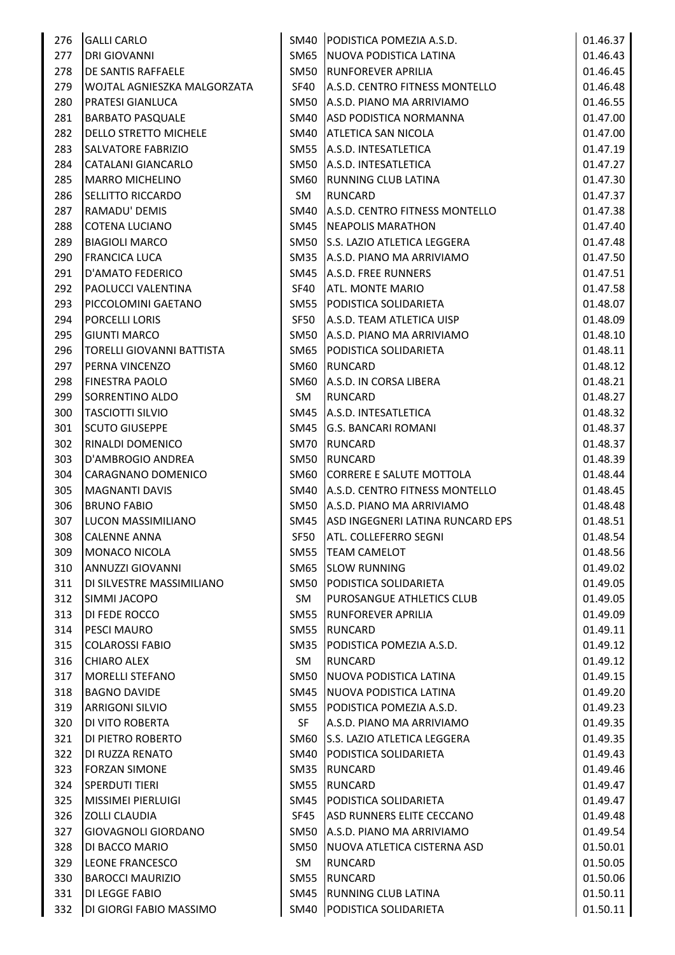| 276 | <b>GALLI CARLO</b>               |             | SM40   PODISTICA POMEZIA A.S.D.       | 01.46.37 |
|-----|----------------------------------|-------------|---------------------------------------|----------|
| 277 | <b>DRI GIOVANNI</b>              |             | SM65 NUOVA PODISTICA LATINA           | 01.46.43 |
| 278 | DE SANTIS RAFFAELE               |             | SM50 RUNFOREVER APRILIA               | 01.46.45 |
| 279 | WOJTAL AGNIESZKA MALGORZATA      | SF40        | A.S.D. CENTRO FITNESS MONTELLO        | 01.46.48 |
| 280 | <b>PRATESI GIANLUCA</b>          |             | SM50 A.S.D. PIANO MA ARRIVIAMO        | 01.46.55 |
| 281 | <b>BARBATO PASQUALE</b>          |             | SM40 ASD PODISTICA NORMANNA           | 01.47.00 |
| 282 | <b>DELLO STRETTO MICHELE</b>     |             | SM40 ATLETICA SAN NICOLA              | 01.47.00 |
| 283 | <b>SALVATORE FABRIZIO</b>        |             | SM55 A.S.D. INTESATLETICA             | 01.47.19 |
| 284 | CATALANI GIANCARLO               |             | SM50 A.S.D. INTESATLETICA             | 01.47.27 |
| 285 | <b>MARRO MICHELINO</b>           |             | SM60 RUNNING CLUB LATINA              | 01.47.30 |
| 286 | <b>SELLITTO RICCARDO</b>         | SM          | <b>RUNCARD</b>                        | 01.47.37 |
| 287 | RAMADU' DEMIS                    |             | SM40   A.S.D. CENTRO FITNESS MONTELLO | 01.47.38 |
| 288 | <b>COTENA LUCIANO</b>            |             | SM45   NEAPOLIS MARATHON              | 01.47.40 |
| 289 | <b>BIAGIOLI MARCO</b>            |             | SM50 S.S. LAZIO ATLETICA LEGGERA      | 01.47.48 |
| 290 | <b>FRANCICA LUCA</b>             |             | SM35 A.S.D. PIANO MA ARRIVIAMO        | 01.47.50 |
| 291 | D'AMATO FEDERICO                 |             | SM45   A.S.D. FREE RUNNERS            | 01.47.51 |
| 292 | PAOLUCCI VALENTINA               | SF40        | <b>ATL. MONTE MARIO</b>               | 01.47.58 |
| 293 | PICCOLOMINI GAETANO              | SM55        | PODISTICA SOLIDARIETA                 | 01.48.07 |
| 294 | <b>PORCELLI LORIS</b>            | SF50        | A.S.D. TEAM ATLETICA UISP             | 01.48.09 |
| 295 | <b>GIUNTI MARCO</b>              |             | SM50 A.S.D. PIANO MA ARRIVIAMO        | 01.48.10 |
| 296 | <b>TORELLI GIOVANNI BATTISTA</b> |             | SM65 PODISTICA SOLIDARIETA            | 01.48.11 |
| 297 | <b>PERNA VINCENZO</b>            | SM60        | <b>RUNCARD</b>                        | 01.48.12 |
| 298 | <b>FINESTRA PAOLO</b>            |             | SM60 A.S.D. IN CORSA LIBERA           | 01.48.21 |
| 299 | SORRENTINO ALDO                  | SM          | <b>RUNCARD</b>                        | 01.48.27 |
| 300 | <b>TASCIOTTI SILVIO</b>          | SM45        | A.S.D. INTESATLETICA                  | 01.48.32 |
| 301 | <b>SCUTO GIUSEPPE</b>            | SM45        | <b>G.S. BANCARI ROMANI</b>            | 01.48.37 |
| 302 | <b>RINALDI DOMENICO</b>          | <b>SM70</b> | <b>RUNCARD</b>                        | 01.48.37 |
| 303 | D'AMBROGIO ANDREA                | <b>SM50</b> | <b>RUNCARD</b>                        | 01.48.39 |
| 304 | CARAGNANO DOMENICO               | SM60        | CORRERE E SALUTE MOTTOLA              | 01.48.44 |
| 305 | MAGNANTI DAVIS                   |             | SM40   A.S.D. CENTRO FITNESS MONTELLO | 01.48.45 |
| 306 | <b>BRUNO FABIO</b>               |             | SM50 A.S.D. PIANO MA ARRIVIAMO        | 01.48.48 |
| 307 | LUCON MASSIMILIANO               |             | SM45 ASD INGEGNERI LATINA RUNCARD EPS | 01.48.51 |
| 308 | <b>CALENNE ANNA</b>              |             | SF50 ATL. COLLEFERRO SEGNI            | 01.48.54 |
| 309 | MONACO NICOLA                    |             | SM55   TEAM CAMELOT                   | 01.48.56 |
| 310 | ANNUZZI GIOVANNI                 |             | SM65 SLOW RUNNING                     | 01.49.02 |
| 311 | DI SILVESTRE MASSIMILIANO        | SM50        | PODISTICA SOLIDARIETA                 | 01.49.05 |
| 312 | <b>SIMMI JACOPO</b>              | SM          | PUROSANGUE ATHLETICS CLUB             | 01.49.05 |
| 313 | <b>DI FEDE ROCCO</b>             |             | SM55 RUNFOREVER APRILIA               | 01.49.09 |
| 314 | <b>PESCI MAURO</b>               | SM55        | RUNCARD                               | 01.49.11 |
| 315 | <b>COLAROSSI FABIO</b>           |             | SM35   PODISTICA POMEZIA A.S.D.       | 01.49.12 |
| 316 | <b>CHIARO ALEX</b>               | SM          | <b>RUNCARD</b>                        | 01.49.12 |
| 317 | <b>MORELLI STEFANO</b>           | SM50        | <b>NUOVA PODISTICA LATINA</b>         | 01.49.15 |
| 318 | <b>BAGNO DAVIDE</b>              | SM45        | NUOVA PODISTICA LATINA                | 01.49.20 |
| 319 | <b>ARRIGONI SILVIO</b>           |             | SM55   PODISTICA POMEZIA A.S.D.       | 01.49.23 |
| 320 | <b>DI VITO ROBERTA</b>           | <b>SF</b>   | A.S.D. PIANO MA ARRIVIAMO             | 01.49.35 |
| 321 | DI PIETRO ROBERTO                |             | SM60 S.S. LAZIO ATLETICA LEGGERA      | 01.49.35 |
| 322 | DI RUZZA RENATO                  |             | SM40 PODISTICA SOLIDARIETA            | 01.49.43 |
| 323 | <b>FORZAN SIMONE</b>             |             | SM35 RUNCARD                          | 01.49.46 |
| 324 | <b>SPERDUTI TIERI</b>            | SM55        | RUNCARD                               | 01.49.47 |
| 325 | MISSIMEI PIERLUIGI               | SM45        | PODISTICA SOLIDARIETA                 | 01.49.47 |
| 326 | <b>ZOLLI CLAUDIA</b>             |             | SF45 ASD RUNNERS ELITE CECCANO        | 01.49.48 |
| 327 | <b>GIOVAGNOLI GIORDANO</b>       |             | SM50 A.S.D. PIANO MA ARRIVIAMO        | 01.49.54 |
| 328 | DI BACCO MARIO                   |             | SM50   NUOVA ATLETICA CISTERNA ASD    | 01.50.01 |
| 329 | LEONE FRANCESCO                  | SM          | <b>RUNCARD</b>                        | 01.50.05 |
| 330 | <b>BAROCCI MAURIZIO</b>          | SM55        | RUNCARD                               | 01.50.06 |
| 331 | <b>DI LEGGE FABIO</b>            |             | SM45 RUNNING CLUB LATINA              | 01.50.11 |
| 332 | DI GIORGI FABIO MASSIMO          |             | SM40 PODISTICA SOLIDARIETA            | 01.50.11 |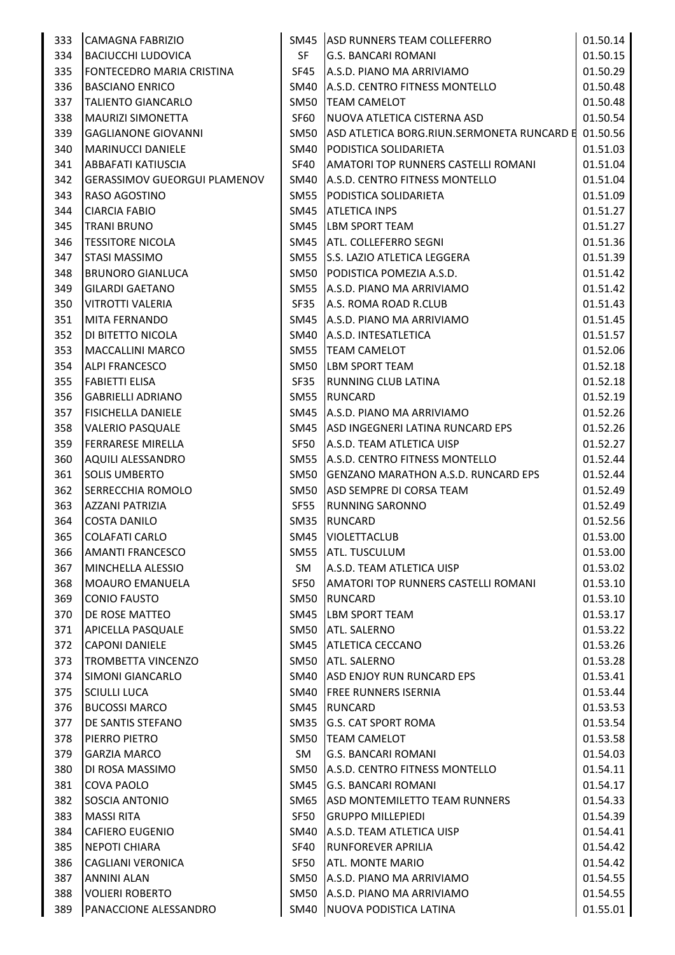| 333 | CAMAGNA FABRIZIO                    |             | SM45 ASD RUNNERS TEAM COLLEFERRO           | 01.50.14 |
|-----|-------------------------------------|-------------|--------------------------------------------|----------|
| 334 | <b>BACIUCCHI LUDOVICA</b>           | SF          | <b>G.S. BANCARI ROMANI</b>                 | 01.50.15 |
| 335 | <b>FONTECEDRO MARIA CRISTINA</b>    | SF45        | A.S.D. PIANO MA ARRIVIAMO                  | 01.50.29 |
| 336 | <b>BASCIANO ENRICO</b>              | SM40        | A.S.D. CENTRO FITNESS MONTELLO             | 01.50.48 |
| 337 | <b>TALIENTO GIANCARLO</b>           | SM50        | <b>TEAM CAMELOT</b>                        | 01.50.48 |
| 338 | MAURIZI SIMONETTA                   | SF60        | NUOVA ATLETICA CISTERNA ASD                | 01.50.54 |
| 339 | <b>GAGLIANONE GIOVANNI</b>          | <b>SM50</b> | ASD ATLETICA BORG.RIUN.SERMONETA RUNCARD E | 01.50.56 |
| 340 | <b>MARINUCCI DANIELE</b>            | SM40        | PODISTICA SOLIDARIETA                      | 01.51.03 |
| 341 | <b>ABBAFATI KATIUSCIA</b>           | SF40        | AMATORI TOP RUNNERS CASTELLI ROMANI        | 01.51.04 |
| 342 | <b>GERASSIMOV GUEORGUI PLAMENOV</b> | SM40        | A.S.D. CENTRO FITNESS MONTELLO             | 01.51.04 |
| 343 | <b>RASO AGOSTINO</b>                | SM55        | PODISTICA SOLIDARIETA                      | 01.51.09 |
| 344 | <b>CIARCIA FABIO</b>                | SM45        | <b>ATLETICA INPS</b>                       | 01.51.27 |
| 345 | <b>TRANI BRUNO</b>                  | SM45        | <b>LBM SPORT TEAM</b>                      | 01.51.27 |
| 346 | <b>TESSITORE NICOLA</b>             | SM45        | <b>ATL. COLLEFERRO SEGNI</b>               | 01.51.36 |
| 347 | <b>STASI MASSIMO</b>                | <b>SM55</b> | S.S. LAZIO ATLETICA LEGGERA                | 01.51.39 |
| 348 | <b>BRUNORO GIANLUCA</b>             | <b>SM50</b> | PODISTICA POMEZIA A.S.D.                   | 01.51.42 |
| 349 | <b>GILARDI GAETANO</b>              | SM55        | A.S.D. PIANO MA ARRIVIAMO                  | 01.51.42 |
| 350 | <b>VITROTTI VALERIA</b>             | SF35        | A.S. ROMA ROAD R.CLUB                      | 01.51.43 |
| 351 | MITA FERNANDO                       | SM45        | A.S.D. PIANO MA ARRIVIAMO                  | 01.51.45 |
| 352 | <b>DI BITETTO NICOLA</b>            | SM40        | A.S.D. INTESATLETICA                       | 01.51.57 |
| 353 | <b>MACCALLINI MARCO</b>             | SM55        | <b>TEAM CAMELOT</b>                        | 01.52.06 |
| 354 | <b>ALPI FRANCESCO</b>               | SM50        | <b>LBM SPORT TEAM</b>                      | 01.52.18 |
| 355 | <b>FABIETTI ELISA</b>               | SF35        | <b>RUNNING CLUB LATINA</b>                 | 01.52.18 |
| 356 | <b>GABRIELLI ADRIANO</b>            | <b>SM55</b> | <b>RUNCARD</b>                             | 01.52.19 |
| 357 | <b>FISICHELLA DANIELE</b>           | SM45        | A.S.D. PIANO MA ARRIVIAMO                  | 01.52.26 |
| 358 | <b>VALERIO PASQUALE</b>             | SM45        | ASD INGEGNERI LATINA RUNCARD EPS           | 01.52.26 |
| 359 | <b>FERRARESE MIRELLA</b>            | SF50        | A.S.D. TEAM ATLETICA UISP                  | 01.52.27 |
| 360 | AQUILI ALESSANDRO                   | SM55        | A.S.D. CENTRO FITNESS MONTELLO             | 01.52.44 |
| 361 | <b>SOLIS UMBERTO</b>                | SM50        | <b>GENZANO MARATHON A.S.D. RUNCARD EPS</b> | 01.52.44 |
| 362 | <b>SERRECCHIA ROMOLO</b>            | SM50        | ASD SEMPRE DI CORSA TEAM                   | 01.52.49 |
| 363 | <b>AZZANI PATRIZIA</b>              | SF55        | <b>RUNNING SARONNO</b>                     | 01.52.49 |
| 364 | <b>COSTA DANILO</b>                 | SM35        | <b>RUNCARD</b>                             | 01.52.56 |
| 365 | <b>COLAFATI CARLO</b>               |             | SM45   VIOLETTACLUB                        | 01.53.00 |
| 366 | <b>AMANTI FRANCESCO</b>             |             | SM55 ATL. TUSCULUM                         | 01.53.00 |
| 367 | MINCHELLA ALESSIO                   | SM          | A.S.D. TEAM ATLETICA UISP                  | 01.53.02 |
| 368 | <b>MOAURO EMANUELA</b>              | SF50        | AMATORI TOP RUNNERS CASTELLI ROMANI        | 01.53.10 |
| 369 | <b>CONIO FAUSTO</b>                 | SM50        | <b>RUNCARD</b>                             | 01.53.10 |
| 370 | <b>DE ROSE MATTEO</b>               | SM45        | <b>LBM SPORT TEAM</b>                      | 01.53.17 |
| 371 | <b>APICELLA PASQUALE</b>            | <b>SM50</b> | <b>ATL. SALERNO</b>                        | 01.53.22 |
| 372 | <b>CAPONI DANIELE</b>               | SM45        | <b>ATLETICA CECCANO</b>                    | 01.53.26 |
| 373 | <b>TROMBETTA VINCENZO</b>           | SM50        | <b>ATL. SALERNO</b>                        | 01.53.28 |
| 374 | <b>SIMONI GIANCARLO</b>             | SM40        | ASD ENJOY RUN RUNCARD EPS                  | 01.53.41 |
| 375 | <b>SCIULLI LUCA</b>                 | SM40        | <b>FREE RUNNERS ISERNIA</b>                | 01.53.44 |
| 376 | <b>BUCOSSI MARCO</b>                | SM45        | RUNCARD                                    | 01.53.53 |
| 377 | <b>DE SANTIS STEFANO</b>            | <b>SM35</b> | <b>G.S. CAT SPORT ROMA</b>                 | 01.53.54 |
| 378 | <b>PIERRO PIETRO</b>                | <b>SM50</b> | <b>TEAM CAMELOT</b>                        | 01.53.58 |
| 379 | <b>GARZIA MARCO</b>                 | SM          | <b>G.S. BANCARI ROMANI</b>                 | 01.54.03 |
| 380 | DI ROSA MASSIMO                     | SM50        | A.S.D. CENTRO FITNESS MONTELLO             | 01.54.11 |
| 381 | <b>COVA PAOLO</b>                   | SM45        | <b>G.S. BANCARI ROMANI</b>                 | 01.54.17 |
| 382 | SOSCIA ANTONIO                      | SM65        | ASD MONTEMILETTO TEAM RUNNERS              | 01.54.33 |
| 383 | <b>MASSI RITA</b>                   | SF50        | <b>GRUPPO MILLEPIEDI</b>                   | 01.54.39 |
| 384 | CAFIERO EUGENIO                     | SM40        | A.S.D. TEAM ATLETICA UISP                  | 01.54.41 |
| 385 | <b>NEPOTI CHIARA</b>                | SF40        | <b>RUNFOREVER APRILIA</b>                  | 01.54.42 |
| 386 | <b>CAGLIANI VERONICA</b>            | SF50        | <b>ATL. MONTE MARIO</b>                    | 01.54.42 |
| 387 | <b>ANNINI ALAN</b>                  | SM50        | A.S.D. PIANO MA ARRIVIAMO                  | 01.54.55 |
| 388 | <b>VOLIERI ROBERTO</b>              | SM50        | A.S.D. PIANO MA ARRIVIAMO                  | 01.54.55 |
| 389 | PANACCIONE ALESSANDRO               | SM40        | NUOVA PODISTICA LATINA                     | 01.55.01 |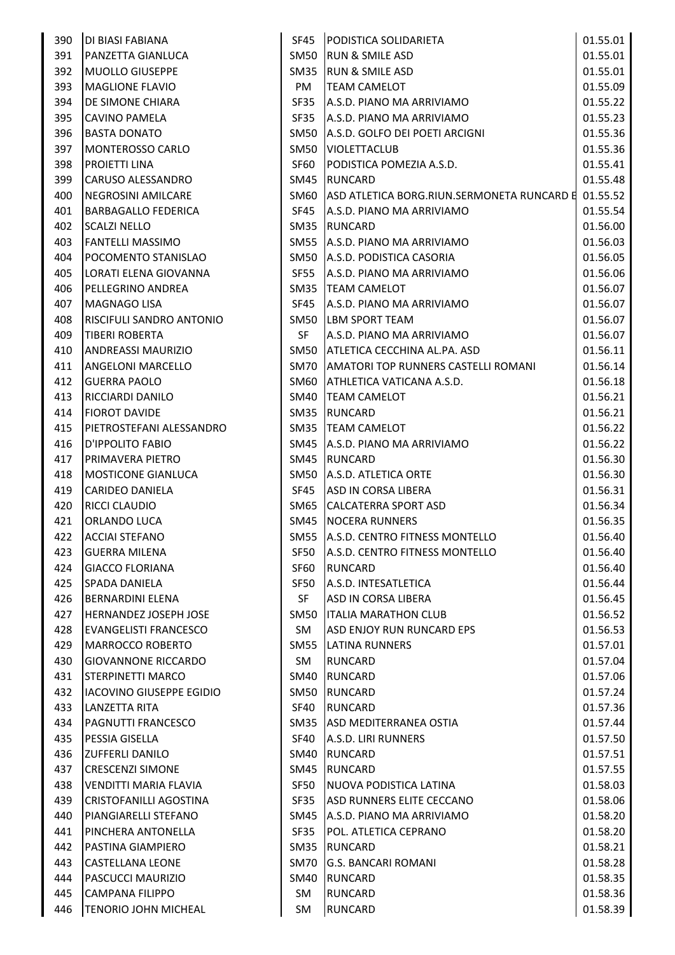| 390 | DI BIASI FABIANA                |      | SF45 PODISTICA SOLIDARIETA                 | 01.55.01 |
|-----|---------------------------------|------|--------------------------------------------|----------|
| 391 | PANZETTA GIANLUCA               | SM50 | <b>RUN &amp; SMILE ASD</b>                 | 01.55.01 |
| 392 | <b>MUOLLO GIUSEPPE</b>          | SM35 | <b>RUN &amp; SMILE ASD</b>                 | 01.55.01 |
| 393 | <b>MAGLIONE FLAVIO</b>          | PM   | <b>TEAM CAMELOT</b>                        | 01.55.09 |
| 394 | DE SIMONE CHIARA                | SF35 | A.S.D. PIANO MA ARRIVIAMO                  | 01.55.22 |
| 395 | <b>CAVINO PAMELA</b>            | SF35 | A.S.D. PIANO MA ARRIVIAMO                  | 01.55.23 |
| 396 | <b>BASTA DONATO</b>             | SM50 | A.S.D. GOLFO DEI POETI ARCIGNI             | 01.55.36 |
| 397 | MONTEROSSO CARLO                | SM50 | <b>VIOLETTACLUB</b>                        | 01.55.36 |
| 398 | <b>PROJETTI LINA</b>            | SF60 | PODISTICA POMEZIA A.S.D.                   | 01.55.41 |
| 399 | <b>CARUSO ALESSANDRO</b>        | SM45 | <b>RUNCARD</b>                             | 01.55.48 |
| 400 | NEGROSINI AMILCARE              | SM60 | ASD ATLETICA BORG.RIUN.SERMONETA RUNCARD E | 01.55.52 |
| 401 | <b>BARBAGALLO FEDERICA</b>      | SF45 | A.S.D. PIANO MA ARRIVIAMO                  | 01.55.54 |
| 402 | <b>SCALZI NELLO</b>             | SM35 | <b>RUNCARD</b>                             | 01.56.00 |
| 403 | FANTELLI MASSIMO                |      | SM55 A.S.D. PIANO MA ARRIVIAMO             | 01.56.03 |
| 404 | POCOMENTO STANISLAO             |      | SM50 A.S.D. PODISTICA CASORIA              | 01.56.05 |
| 405 | LORATI ELENA GIOVANNA           | SF55 | A.S.D. PIANO MA ARRIVIAMO                  | 01.56.06 |
| 406 | PELLEGRINO ANDREA               |      | SM35  TEAM CAMELOT                         | 01.56.07 |
| 407 | <b>MAGNAGO LISA</b>             | SF45 | A.S.D. PIANO MA ARRIVIAMO                  | 01.56.07 |
| 408 | RISCIFULI SANDRO ANTONIO        | SM50 | <b>LBM SPORT TEAM</b>                      | 01.56.07 |
| 409 | TIBERI ROBERTA                  | SF   | A.S.D. PIANO MA ARRIVIAMO                  | 01.56.07 |
| 410 | <b>ANDREASSI MAURIZIO</b>       | SM50 | ATLETICA CECCHINA AL.PA. ASD               | 01.56.11 |
| 411 | <b>ANGELONI MARCELLO</b>        |      | SM70 AMATORI TOP RUNNERS CASTELLI ROMANI   | 01.56.14 |
| 412 | <b>GUERRA PAOLO</b>             | SM60 | ATHLETICA VATICANA A.S.D.                  | 01.56.18 |
| 413 | <b>RICCIARDI DANILO</b>         | SM40 | <b>TEAM CAMELOT</b>                        | 01.56.21 |
| 414 | <b>FIOROT DAVIDE</b>            | SM35 | RUNCARD                                    | 01.56.21 |
| 415 | PIETROSTEFANI ALESSANDRO        |      | SM35  TEAM CAMELOT                         | 01.56.22 |
| 416 | D'IPPOLITO FABIO                | SM45 | A.S.D. PIANO MA ARRIVIAMO                  | 01.56.22 |
| 417 | PRIMAVERA PIETRO                | SM45 | <b>RUNCARD</b>                             | 01.56.30 |
| 418 | <b>MOSTICONE GIANLUCA</b>       |      | SM50   A.S.D. ATLETICA ORTE                | 01.56.30 |
| 419 | <b>CARIDEO DANIELA</b>          | SF45 | ASD IN CORSA LIBERA                        | 01.56.31 |
| 420 | <b>RICCI CLAUDIO</b>            | SM65 | <b>CALCATERRA SPORT ASD</b>                | 01.56.34 |
| 421 | ORLANDO LUCA                    |      | SM45 NOCERA RUNNERS                        | 01.56.35 |
| 422 | <b>ACCIAI STEFANO</b>           |      | SM55 A.S.D. CENTRO FITNESS MONTELLO        | 01.56.40 |
| 423 | <b>GUERRA MILENA</b>            |      | SF50 A.S.D. CENTRO FITNESS MONTELLO        | 01.56.40 |
| 424 | <b>GIACCO FLORIANA</b>          | SF60 | RUNCARD                                    | 01.56.40 |
| 425 | <b>SPADA DANIELA</b>            | SF50 | A.S.D. INTESATLETICA                       | 01.56.44 |
| 426 | <b>BERNARDINI ELENA</b>         | SF   | ASD IN CORSA LIBERA                        | 01.56.45 |
| 427 | HERNANDEZ JOSEPH JOSE           | SM50 | <b>ITALIA MARATHON CLUB</b>                | 01.56.52 |
| 428 | <b>EVANGELISTI FRANCESCO</b>    | SM   | ASD ENJOY RUN RUNCARD EPS                  | 01.56.53 |
| 429 | <b>MARROCCO ROBERTO</b>         | SM55 | <b>LATINA RUNNERS</b>                      | 01.57.01 |
| 430 | <b>GIOVANNONE RICCARDO</b>      | SM   | RUNCARD                                    | 01.57.04 |
| 431 | <b>STERPINETTI MARCO</b>        | SM40 | <b>RUNCARD</b>                             | 01.57.06 |
| 432 | <b>IACOVINO GIUSEPPE EGIDIO</b> | SM50 | <b>RUNCARD</b>                             | 01.57.24 |
| 433 | LANZETTA RITA                   | SF40 | <b>RUNCARD</b>                             | 01.57.36 |
| 434 | PAGNUTTI FRANCESCO              | SM35 | <b>ASD MEDITERRANEA OSTIA</b>              | 01.57.44 |
| 435 | PESSIA GISELLA                  | SF40 | A.S.D. LIRI RUNNERS                        | 01.57.50 |
| 436 | <b>ZUFFERLI DANILO</b>          | SM40 | <b>RUNCARD</b>                             | 01.57.51 |
| 437 | <b>CRESCENZI SIMONE</b>         | SM45 | <b>RUNCARD</b>                             | 01.57.55 |
| 438 | VENDITTI MARIA FLAVIA           | SF50 | <b>NUOVA PODISTICA LATINA</b>              | 01.58.03 |
| 439 | <b>CRISTOFANILLI AGOSTINA</b>   | SF35 | ASD RUNNERS ELITE CECCANO                  | 01.58.06 |
| 440 | PIANGIARELLI STEFANO            | SM45 | A.S.D. PIANO MA ARRIVIAMO                  | 01.58.20 |
| 441 | PINCHERA ANTONELLA              | SF35 | POL. ATLETICA CEPRANO                      | 01.58.20 |
| 442 | PASTINA GIAMPIERO               | SM35 | RUNCARD                                    | 01.58.21 |
| 443 | CASTELLANA LEONE                | SM70 | <b>G.S. BANCARI ROMANI</b>                 | 01.58.28 |
| 444 | PASCUCCI MAURIZIO               | SM40 | <b>RUNCARD</b>                             | 01.58.35 |
| 445 | <b>CAMPANA FILIPPO</b>          | SM   | <b>RUNCARD</b>                             | 01.58.36 |
| 446 | <b>TENORIO JOHN MICHEAL</b>     | SM   | <b>RUNCARD</b>                             | 01.58.39 |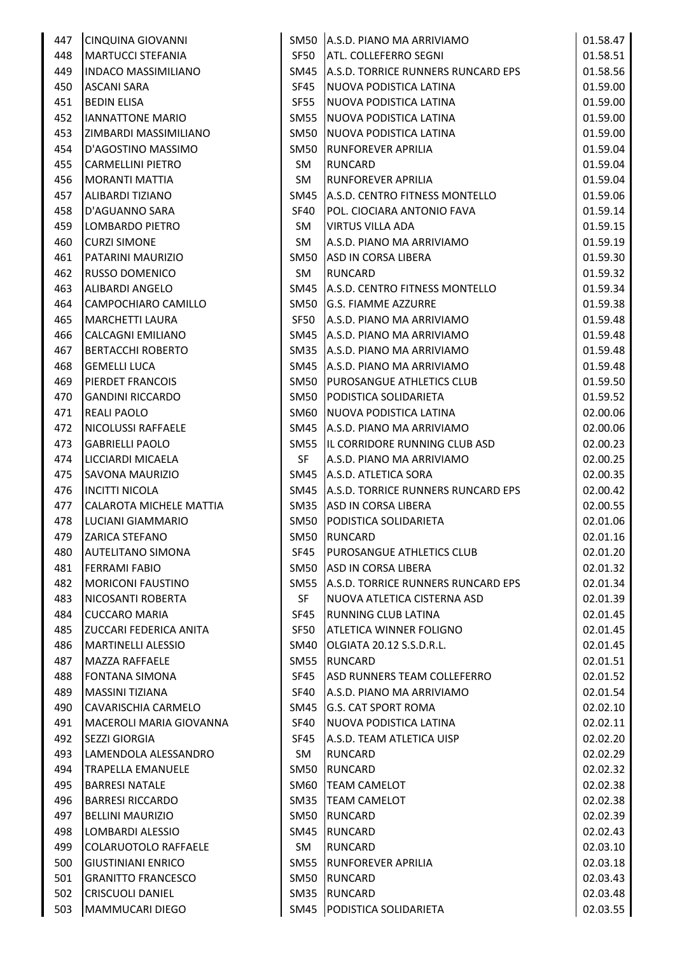| 447 | <b>CINQUINA GIOVANNI</b>      |             | SM50 A.S.D. PIANO MA ARRIVIAMO     | 01.58.47 |
|-----|-------------------------------|-------------|------------------------------------|----------|
| 448 | MARTUCCI STEFANIA             | SF50        | <b>ATL. COLLEFERRO SEGNI</b>       | 01.58.51 |
| 449 | <b>INDACO MASSIMILIANO</b>    | SM45        | A.S.D. TORRICE RUNNERS RUNCARD EPS | 01.58.56 |
| 450 | <b>ASCANI SARA</b>            | SF45        | NUOVA PODISTICA LATINA             | 01.59.00 |
| 451 | <b>BEDIN ELISA</b>            | <b>SF55</b> | NUOVA PODISTICA LATINA             | 01.59.00 |
| 452 | <b>IANNATTONE MARIO</b>       | SM55        | NUOVA PODISTICA LATINA             | 01.59.00 |
| 453 | ZIMBARDI MASSIMILIANO         | SM50        | NUOVA PODISTICA LATINA             | 01.59.00 |
| 454 | D'AGOSTINO MASSIMO            | SM50        | <b>RUNFOREVER APRILIA</b>          | 01.59.04 |
| 455 | <b>CARMELLINI PIETRO</b>      | SM          | <b>RUNCARD</b>                     | 01.59.04 |
| 456 | <b>MORANTI MATTIA</b>         | SM          | <b>RUNFOREVER APRILIA</b>          | 01.59.04 |
| 457 | <b>ALIBARDI TIZIANO</b>       | SM45        | A.S.D. CENTRO FITNESS MONTELLO     | 01.59.06 |
| 458 | D'AGUANNO SARA                | SF40        | POL. CIOCIARA ANTONIO FAVA         | 01.59.14 |
| 459 | LOMBARDO PIETRO               | SM          | <b>VIRTUS VILLA ADA</b>            | 01.59.15 |
| 460 | <b>CURZI SIMONE</b>           | SM          | A.S.D. PIANO MA ARRIVIAMO          | 01.59.19 |
| 461 | PATARINI MAURIZIO             | SM50        | ASD IN CORSA LIBERA                | 01.59.30 |
| 462 | <b>RUSSO DOMENICO</b>         | SM          | <b>RUNCARD</b>                     | 01.59.32 |
| 463 | <b>ALIBARDI ANGELO</b>        | SM45        | A.S.D. CENTRO FITNESS MONTELLO     | 01.59.34 |
| 464 | CAMPOCHIARO CAMILLO           | SM50        | G.S. FIAMME AZZURRE                | 01.59.38 |
| 465 | <b>MARCHETTI LAURA</b>        | SF50        | A.S.D. PIANO MA ARRIVIAMO          | 01.59.48 |
| 466 | <b>CALCAGNI EMILIANO</b>      | SM45        | A.S.D. PIANO MA ARRIVIAMO          | 01.59.48 |
| 467 | <b>BERTACCHI ROBERTO</b>      |             | SM35 A.S.D. PIANO MA ARRIVIAMO     | 01.59.48 |
| 468 | <b>GEMELLI LUCA</b>           |             | SM45 A.S.D. PIANO MA ARRIVIAMO     | 01.59.48 |
| 469 | <b>PIERDET FRANCOIS</b>       | SM50        | <b>PUROSANGUE ATHLETICS CLUB</b>   | 01.59.50 |
| 470 | <b>GANDINI RICCARDO</b>       | SM50        | PODISTICA SOLIDARIETA              | 01.59.52 |
| 471 |                               |             |                                    | 02.00.06 |
| 472 | <b>REALI PAOLO</b>            | SM60        | NUOVA PODISTICA LATINA             |          |
|     | <b>NICOLUSSI RAFFAELE</b>     | SM45        | A.S.D. PIANO MA ARRIVIAMO          | 02.00.06 |
| 473 | <b>GABRIELLI PAOLO</b>        | SM55        | IL CORRIDORE RUNNING CLUB ASD      | 02.00.23 |
| 474 | LICCIARDI MICAELA             | SF          | A.S.D. PIANO MA ARRIVIAMO          | 02.00.25 |
| 475 | <b>SAVONA MAURIZIO</b>        |             | SM45 A.S.D. ATLETICA SORA          | 02.00.35 |
| 476 | <b>INCITTI NICOLA</b>         | SM45        | A.S.D. TORRICE RUNNERS RUNCARD EPS | 02.00.42 |
| 477 | CALAROTA MICHELE MATTIA       | SM35        | ASD IN CORSA LIBERA                | 02.00.55 |
| 478 | LUCIANI GIAMMARIO             | <b>SM50</b> | PODISTICA SOLIDARIETA              | 02.01.06 |
| 479 | <b>ZARICA STEFANO</b>         |             | SM50 RUNCARD                       | 02.01.16 |
| 480 | <b>AUTELITANO SIMONA</b>      | SF45        | <b>PUROSANGUE ATHLETICS CLUB</b>   | 02.01.20 |
| 481 | <b>FERRAMI FABIO</b>          | SM50        | <b>ASD IN CORSA LIBERA</b>         | 02.01.32 |
| 482 | <b>MORICONI FAUSTINO</b>      | SM55        | A.S.D. TORRICE RUNNERS RUNCARD EPS | 02.01.34 |
| 483 | NICOSANTI ROBERTA             | SF          | NUOVA ATLETICA CISTERNA ASD        | 02.01.39 |
| 484 | <b>CUCCARO MARIA</b>          | SF45        | <b>RUNNING CLUB LATINA</b>         | 02.01.45 |
| 485 | <b>ZUCCARI FEDERICA ANITA</b> | SF50        | <b>ATLETICA WINNER FOLIGNO</b>     | 02.01.45 |
| 486 | <b>MARTINELLI ALESSIO</b>     | SM40        | OLGIATA 20.12 S.S.D.R.L.           | 02.01.45 |
| 487 | MAZZA RAFFAELE                | SM55        | RUNCARD                            | 02.01.51 |
| 488 | <b>FONTANA SIMONA</b>         | SF45        | ASD RUNNERS TEAM COLLEFERRO        | 02.01.52 |
| 489 | <b>MASSINI TIZIANA</b>        | SF40        | A.S.D. PIANO MA ARRIVIAMO          | 02.01.54 |
| 490 | CAVARISCHIA CARMELO           | SM45        | <b>G.S. CAT SPORT ROMA</b>         | 02.02.10 |
| 491 | MACEROLI MARIA GIOVANNA       | SF40        | NUOVA PODISTICA LATINA             | 02.02.11 |
| 492 | <b>SEZZI GIORGIA</b>          | SF45        | A.S.D. TEAM ATLETICA UISP          | 02.02.20 |
| 493 | LAMENDOLA ALESSANDRO          | SM          | RUNCARD                            | 02.02.29 |
| 494 | <b>TRAPELLA EMANUELE</b>      | SM50        | <b>RUNCARD</b>                     | 02.02.32 |
| 495 | <b>BARRESI NATALE</b>         | SM60        | <b>TEAM CAMELOT</b>                | 02.02.38 |
| 496 | <b>BARRESI RICCARDO</b>       | SM35        | <b>TEAM CAMELOT</b>                | 02.02.38 |
| 497 | <b>BELLINI MAURIZIO</b>       | SM50        | <b>RUNCARD</b>                     | 02.02.39 |
| 498 | LOMBARDI ALESSIO              | SM45        | RUNCARD                            | 02.02.43 |
| 499 | COLARUOTOLO RAFFAELE          | SM          | <b>RUNCARD</b>                     | 02.03.10 |
| 500 | <b>GIUSTINIANI ENRICO</b>     | SM55        | <b>RUNFOREVER APRILIA</b>          | 02.03.18 |
| 501 | <b>GRANITTO FRANCESCO</b>     | SM50        | <b>RUNCARD</b>                     | 02.03.43 |
| 502 | <b>CRISCUOLI DANIEL</b>       | SM35        | <b>RUNCARD</b>                     | 02.03.48 |
| 503 | <b>MAMMUCARI DIEGO</b>        | SM45        | PODISTICA SOLIDARIETA              | 02.03.55 |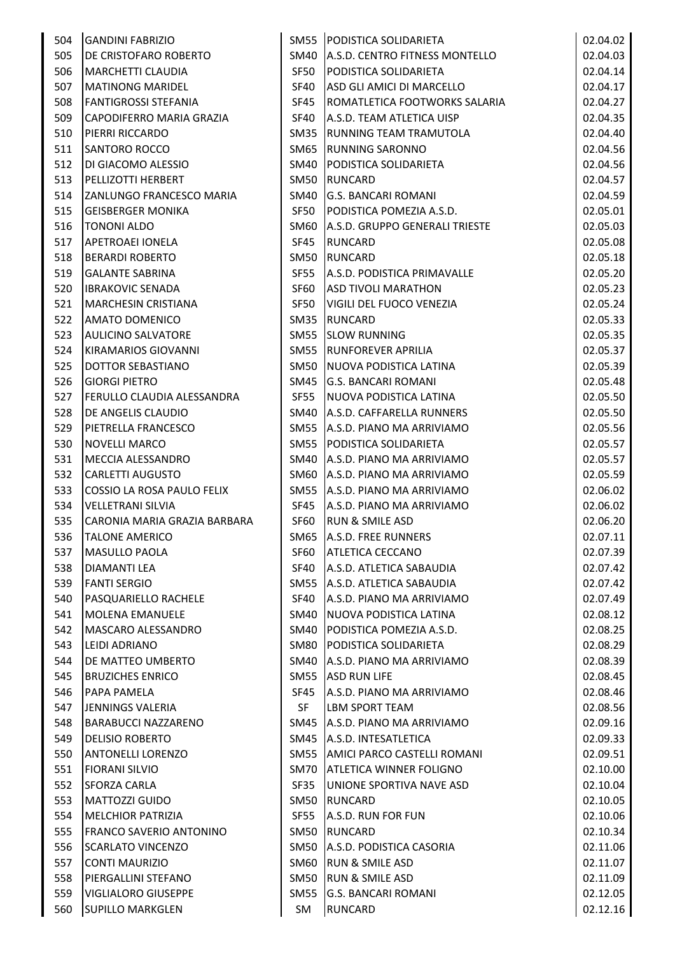| 504 | <b>GANDINI FABRIZIO</b>           |             | SM55 PODISTICA SOLIDARIETA       | 02.04.02 |
|-----|-----------------------------------|-------------|----------------------------------|----------|
| 505 | <b>DE CRISTOFARO ROBERTO</b>      | SM40        | A.S.D. CENTRO FITNESS MONTELLO   | 02.04.03 |
| 506 | MARCHETTI CLAUDIA                 | SF50        | PODISTICA SOLIDARIETA            | 02.04.14 |
| 507 | <b>MATINONG MARIDEL</b>           | SF40        | ASD GLI AMICI DI MARCELLO        | 02.04.17 |
| 508 | <b>FANTIGROSSI STEFANIA</b>       | SF45        | ROMATLETICA FOOTWORKS SALARIA    | 02.04.27 |
| 509 | CAPODIFERRO MARIA GRAZIA          | SF40        | A.S.D. TEAM ATLETICA UISP        | 02.04.35 |
| 510 | PIERRI RICCARDO                   | SM35        | RUNNING TEAM TRAMUTOLA           | 02.04.40 |
| 511 | <b>SANTORO ROCCO</b>              | SM65        | <b>RUNNING SARONNO</b>           | 02.04.56 |
| 512 | DI GIACOMO ALESSIO                | SM40        | <b>PODISTICA SOLIDARIETA</b>     | 02.04.56 |
| 513 | <b>PELLIZOTTI HERBERT</b>         | <b>SM50</b> | <b>RUNCARD</b>                   | 02.04.57 |
| 514 | <b>ZANLUNGO FRANCESCO MARIA</b>   | SM40        | <b>G.S. BANCARI ROMANI</b>       | 02.04.59 |
| 515 | <b>GEISBERGER MONIKA</b>          | SF50        | PODISTICA POMEZIA A.S.D.         | 02.05.01 |
| 516 | <b>TONONI ALDO</b>                | SM60        | A.S.D. GRUPPO GENERALI TRIESTE   | 02.05.03 |
| 517 | <b>APETROAEI IONELA</b>           | SF45        | <b>RUNCARD</b>                   | 02.05.08 |
| 518 | <b>BERARDI ROBERTO</b>            | SM50        | <b>RUNCARD</b>                   | 02.05.18 |
| 519 | <b>GALANTE SABRINA</b>            | SF55        | A.S.D. PODISTICA PRIMAVALLE      | 02.05.20 |
| 520 | <b>IBRAKOVIC SENADA</b>           | SF60        | <b>ASD TIVOLI MARATHON</b>       | 02.05.23 |
| 521 | <b>MARCHESIN CRISTIANA</b>        | SF50        | VIGILI DEL FUOCO VENEZIA         | 02.05.24 |
| 522 | <b>AMATO DOMENICO</b>             | SM35        | <b>RUNCARD</b>                   | 02.05.33 |
| 523 | <b>AULICINO SALVATORE</b>         | SM55        | <b>SLOW RUNNING</b>              | 02.05.35 |
| 524 | KIRAMARIOS GIOVANNI               | <b>SM55</b> | <b>RUNFOREVER APRILIA</b>        | 02.05.37 |
| 525 | DOTTOR SEBASTIANO                 | SM50        | NUOVA PODISTICA LATINA           | 02.05.39 |
| 526 | <b>GIORGI PIETRO</b>              | SM45        | <b>G.S. BANCARI ROMANI</b>       | 02.05.48 |
| 527 | <b>FERULLO CLAUDIA ALESSANDRA</b> | SF55        | NUOVA PODISTICA LATINA           | 02.05.50 |
| 528 | <b>DE ANGELIS CLAUDIO</b>         | SM40        | A.S.D. CAFFARELLA RUNNERS        | 02.05.50 |
| 529 | PIETRELLA FRANCESCO               | SM55        | A.S.D. PIANO MA ARRIVIAMO        | 02.05.56 |
| 530 | <b>NOVELLI MARCO</b>              | SM55        | <b>PODISTICA SOLIDARIETA</b>     | 02.05.57 |
| 531 | MECCIA ALESSANDRO                 | SM40        | A.S.D. PIANO MA ARRIVIAMO        | 02.05.57 |
| 532 | <b>CARLETTI AUGUSTO</b>           |             | SM60 A.S.D. PIANO MA ARRIVIAMO   | 02.05.59 |
| 533 | COSSIO LA ROSA PAULO FELIX        | SM55        | A.S.D. PIANO MA ARRIVIAMO        | 02.06.02 |
| 534 | VELLETRANI SILVIA                 | SF45        | A.S.D. PIANO MA ARRIVIAMO        | 02.06.02 |
| 535 | CARONIA MARIA GRAZIA BARBARA      | SF60        | <b>RUN &amp; SMILE ASD</b>       | 02.06.20 |
|     | 536 TALONE AMERICO                |             | SM65 A.S.D. FREE RUNNERS         | 02.07.11 |
| 537 | MASULLO PAOLA                     |             | SF60 ATLETICA CECCANO            | 02.07.39 |
| 538 | <b>DIAMANTI LEA</b>               | SF40        | A.S.D. ATLETICA SABAUDIA         | 02.07.42 |
| 539 | <b>FANTI SERGIO</b>               |             | SM55 A.S.D. ATLETICA SABAUDIA    | 02.07.42 |
| 540 | PASQUARIELLO RACHELE              | SF40        | A.S.D. PIANO MA ARRIVIAMO        | 02.07.49 |
| 541 | MOLENA EMANUELE                   | SM40        | NUOVA PODISTICA LATINA           | 02.08.12 |
| 542 | MASCARO ALESSANDRO                | SM40        | PODISTICA POMEZIA A.S.D.         | 02.08.25 |
| 543 | <b>LEIDI ADRIANO</b>              | SM80        | <b>PODISTICA SOLIDARIETA</b>     | 02.08.29 |
| 544 | <b>DE MATTEO UMBERTO</b>          | SM40        | A.S.D. PIANO MA ARRIVIAMO        | 02.08.39 |
| 545 | <b>BRUZICHES ENRICO</b>           | SM55        | <b>ASD RUN LIFE</b>              | 02.08.45 |
| 546 | PAPA PAMELA                       | SF45        | A.S.D. PIANO MA ARRIVIAMO        | 02.08.46 |
| 547 | JENNINGS VALERIA                  | <b>SF</b>   | <b>LBM SPORT TEAM</b>            | 02.08.56 |
| 548 | BARABUCCI NAZZARENO               | SM45        | A.S.D. PIANO MA ARRIVIAMO        | 02.09.16 |
| 549 | <b>DELISIO ROBERTO</b>            |             | SM45   A.S.D. INTESATLETICA      | 02.09.33 |
| 550 | <b>ANTONELLI LORENZO</b>          |             | SM55 AMICI PARCO CASTELLI ROMANI | 02.09.51 |
| 551 | <b>FIORANI SILVIO</b>             | SM70        | <b>ATLETICA WINNER FOLIGNO</b>   | 02.10.00 |
| 552 | <b>SFORZA CARLA</b>               | SF35        | UNIONE SPORTIVA NAVE ASD         | 02.10.04 |
| 553 | MATTOZZI GUIDO                    | SM50        | <b>RUNCARD</b>                   | 02.10.05 |
| 554 | <b>MELCHIOR PATRIZIA</b>          | SF55        | A.S.D. RUN FOR FUN               | 02.10.06 |
| 555 | <b>FRANCO SAVERIO ANTONINO</b>    | SM50        | RUNCARD                          | 02.10.34 |
| 556 | <b>SCARLATO VINCENZO</b>          | SM50        | A.S.D. PODISTICA CASORIA         | 02.11.06 |
| 557 | CONTI MAURIZIO                    | SM60        | <b>RUN &amp; SMILE ASD</b>       | 02.11.07 |
| 558 | <b>PIERGALLINI STEFANO</b>        | SM50        | <b>RUN &amp; SMILE ASD</b>       | 02.11.09 |
| 559 | <b>VIGLIALORO GIUSEPPE</b>        | SM55        | <b>G.S. BANCARI ROMANI</b>       | 02.12.05 |
| 560 | <b>SUPILLO MARKGLEN</b>           | SM          | <b>RUNCARD</b>                   | 02.12.16 |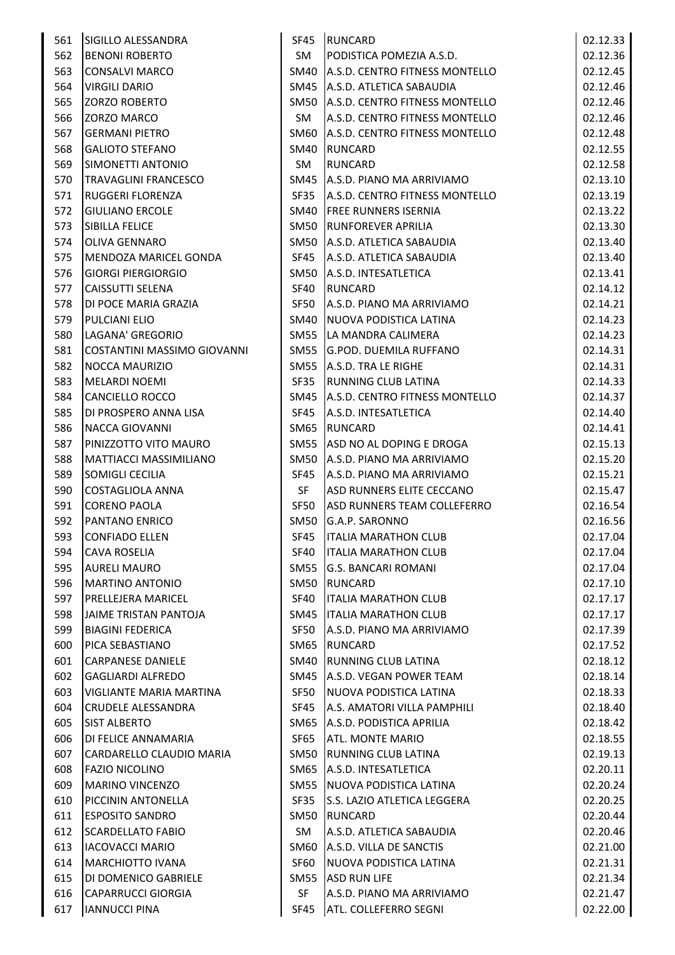| 561 | SIGILLO ALESSANDRA            |             | SF45 RUNCARD                          | 02.12.33 |
|-----|-------------------------------|-------------|---------------------------------------|----------|
| 562 | <b>BENONI ROBERTO</b>         | SM          | PODISTICA POMEZIA A.S.D.              | 02.12.36 |
| 563 | <b>CONSALVI MARCO</b>         |             | SM40 A.S.D. CENTRO FITNESS MONTELLO   | 02.12.45 |
| 564 | <b>VIRGILI DARIO</b>          |             | SM45 A.S.D. ATLETICA SABAUDIA         | 02.12.46 |
| 565 | <b>ZORZO ROBERTO</b>          |             | SM50 A.S.D. CENTRO FITNESS MONTELLO   | 02.12.46 |
| 566 | <b>ZORZO MARCO</b>            | SM          | A.S.D. CENTRO FITNESS MONTELLO        | 02.12.46 |
| 567 | <b>GERMANI PIETRO</b>         |             | SM60   A.S.D. CENTRO FITNESS MONTELLO | 02.12.48 |
| 568 | <b>GALIOTO STEFANO</b>        |             | SM40 RUNCARD                          | 02.12.55 |
| 569 | SIMONETTI ANTONIO             | SM          | <b>RUNCARD</b>                        | 02.12.58 |
| 570 | <b>TRAVAGLINI FRANCESCO</b>   |             | SM45 A.S.D. PIANO MA ARRIVIAMO        | 02.13.10 |
| 571 | <b>RUGGERI FLORENZA</b>       | SF35        | A.S.D. CENTRO FITNESS MONTELLO        | 02.13.19 |
| 572 | <b>GIULIANO ERCOLE</b>        |             | SM40 FREE RUNNERS ISERNIA             | 02.13.22 |
| 573 | <b>SIBILLA FELICE</b>         |             | SM50 RUNFOREVER APRILIA               | 02.13.30 |
| 574 | OLIVA GENNARO                 |             | SM50 A.S.D. ATLETICA SABAUDIA         | 02.13.40 |
| 575 | MENDOZA MARICEL GONDA         | SF45        | A.S.D. ATLETICA SABAUDIA              | 02.13.40 |
| 576 | <b>GIORGI PIERGIORGIO</b>     |             | SM50 A.S.D. INTESATLETICA             | 02.13.41 |
| 577 | <b>CAISSUTTI SELENA</b>       | SF40        | <b>RUNCARD</b>                        | 02.14.12 |
| 578 | DI POCE MARIA GRAZIA          | SF50        | A.S.D. PIANO MA ARRIVIAMO             | 02.14.21 |
| 579 | <b>PULCIANI ELIO</b>          |             | SM40   NUOVA PODISTICA LATINA         | 02.14.23 |
| 580 | LAGANA' GREGORIO              |             | SM55 LA MANDRA CALIMERA               | 02.14.23 |
| 581 | COSTANTINI MASSIMO GIOVANNI   |             | SM55 G.POD. DUEMILA RUFFANO           | 02.14.31 |
| 582 | <b>NOCCA MAURIZIO</b>         |             | SM55 A.S.D. TRA LE RIGHE              | 02.14.31 |
| 583 | <b>MELARDI NOEMI</b>          | SF35        | <b>RUNNING CLUB LATINA</b>            | 02.14.33 |
| 584 | CANCIELLO ROCCO               |             | SM45   A.S.D. CENTRO FITNESS MONTELLO | 02.14.37 |
| 585 | DI PROSPERO ANNA LISA         | SF45        | A.S.D. INTESATLETICA                  | 02.14.40 |
| 586 | <b>NACCA GIOVANNI</b>         | SM65        | <b>RUNCARD</b>                        | 02.14.41 |
| 587 | PINIZZOTTO VITO MAURO         |             | SM55 ASD NO AL DOPING E DROGA         | 02.15.13 |
| 588 | <b>MATTIACCI MASSIMILIANO</b> |             | SM50 A.S.D. PIANO MA ARRIVIAMO        | 02.15.20 |
| 589 | SOMIGLI CECILIA               | SF45        | A.S.D. PIANO MA ARRIVIAMO             | 02.15.21 |
| 590 | COSTAGLIOLA ANNA              | <b>SF</b>   | ASD RUNNERS ELITE CECCANO             | 02.15.47 |
| 591 | <b>CORENO PAOLA</b>           | SF50        | ASD RUNNERS TEAM COLLEFERRO           | 02.16.54 |
| 592 | <b>PANTANO ENRICO</b>         | SM50        | G.A.P. SARONNO                        | 02.16.56 |
| 593 | <b>CONFIADO ELLEN</b>         | <b>SF45</b> | <b>ITALIA MARATHON CLUB</b>           | 02.17.04 |
| 594 | <b>CAVA ROSELIA</b>           | SF40        | <b>ITALIA MARATHON CLUB</b>           | 02.17.04 |
| 595 | <b>AURELI MAURO</b>           | SM55        | <b>G.S. BANCARI ROMANI</b>            | 02.17.04 |
| 596 | <b>MARTINO ANTONIO</b>        | SM50        | <b>RUNCARD</b>                        | 02.17.10 |
| 597 | PRELLEJERA MARICEL            | SF40        | <b>ITALIA MARATHON CLUB</b>           | 02.17.17 |
| 598 | JAIME TRISTAN PANTOJA         |             | SM45   ITALIA MARATHON CLUB           | 02.17.17 |
| 599 | <b>BIAGINI FEDERICA</b>       | SF50        | A.S.D. PIANO MA ARRIVIAMO             | 02.17.39 |
| 600 | PICA SEBASTIANO               | SM65        | <b>RUNCARD</b>                        | 02.17.52 |
| 601 | <b>CARPANESE DANIELE</b>      | SM40        | RUNNING CLUB LATINA                   | 02.18.12 |
| 602 | <b>GAGLIARDI ALFREDO</b>      | SM45        | A.S.D. VEGAN POWER TEAM               | 02.18.14 |
| 603 | VIGLIANTE MARIA MARTINA       | SF50        | NUOVA PODISTICA LATINA                | 02.18.33 |
| 604 | <b>CRUDELE ALESSANDRA</b>     | SF45        | A.S. AMATORI VILLA PAMPHILI           | 02.18.40 |
| 605 | <b>SIST ALBERTO</b>           |             | SM65   A.S.D. PODISTICA APRILIA       | 02.18.42 |
| 606 | DI FELICE ANNAMARIA           | SF65        | <b>ATL. MONTE MARIO</b>               | 02.18.55 |
| 607 | CARDARELLO CLAUDIO MARIA      |             | SM50 RUNNING CLUB LATINA              | 02.19.13 |
| 608 | <b>FAZIO NICOLINO</b>         |             | SM65   A.S.D. INTESATLETICA           | 02.20.11 |
| 609 | <b>MARINO VINCENZO</b>        | SM55        | NUOVA PODISTICA LATINA                | 02.20.24 |
| 610 | PICCININ ANTONELLA            | SF35        | S.S. LAZIO ATLETICA LEGGERA           | 02.20.25 |
| 611 | <b>ESPOSITO SANDRO</b>        | SM50        | <b>RUNCARD</b>                        | 02.20.44 |
| 612 | <b>SCARDELLATO FABIO</b>      | SM          | A.S.D. ATLETICA SABAUDIA              | 02.20.46 |
| 613 | <b>IACOVACCI MARIO</b>        |             | SM60   A.S.D. VILLA DE SANCTIS        | 02.21.00 |
| 614 | MARCHIOTTO IVANA              | SF60        | NUOVA PODISTICA LATINA                | 02.21.31 |
| 615 | DI DOMENICO GABRIELE          | SM55        | <b>ASD RUN LIFE</b>                   | 02.21.34 |
| 616 | <b>CAPARRUCCI GIORGIA</b>     | SF          | A.S.D. PIANO MA ARRIVIAMO             | 02.21.47 |
| 617 | <b>IANNUCCI PINA</b>          | SF45        | <b>ATL. COLLEFERRO SEGNI</b>          | 02.22.00 |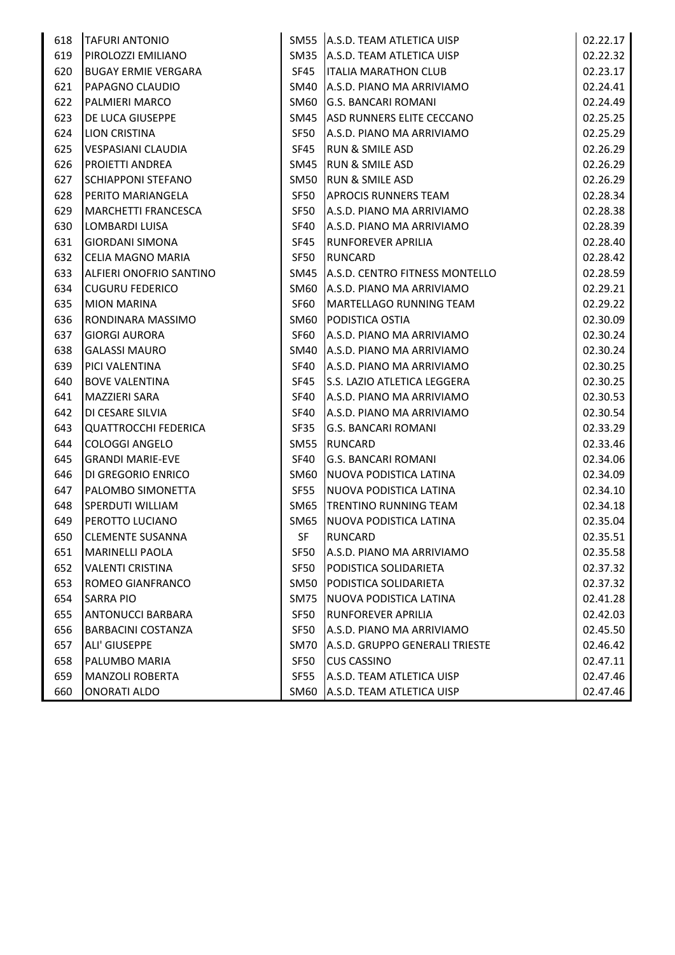| 618 | <b>TAFURI ANTONIO</b>       |      | SM55 A.S.D. TEAM ATLETICA UISP | 02.22.17 |
|-----|-----------------------------|------|--------------------------------|----------|
| 619 | PIROLOZZI EMILIANO          | SM35 | A.S.D. TEAM ATLETICA UISP      | 02.22.32 |
| 620 | BUGAY ERMIE VERGARA         | SF45 | <b>ITALIA MARATHON CLUB</b>    | 02.23.17 |
| 621 | PAPAGNO CLAUDIO             | SM40 | A.S.D. PIANO MA ARRIVIAMO      | 02.24.41 |
| 622 | PALMIERI MARCO              | SM60 | <b>G.S. BANCARI ROMANI</b>     | 02.24.49 |
| 623 | DE LUCA GIUSEPPE            | SM45 | ASD RUNNERS ELITE CECCANO      | 02.25.25 |
| 624 | <b>LION CRISTINA</b>        | SF50 | A.S.D. PIANO MA ARRIVIAMO      | 02.25.29 |
| 625 | VESPASIANI CLAUDIA          | SF45 | <b>RUN &amp; SMILE ASD</b>     | 02.26.29 |
| 626 | <b>PROJETTI ANDREA</b>      | SM45 | <b>RUN &amp; SMILE ASD</b>     | 02.26.29 |
| 627 | <b>SCHIAPPONI STEFANO</b>   | SM50 | <b>RUN &amp; SMILE ASD</b>     | 02.26.29 |
| 628 | PERITO MARIANGELA           | SF50 | <b>APROCIS RUNNERS TEAM</b>    | 02.28.34 |
| 629 | <b>MARCHETTI FRANCESCA</b>  | SF50 | A.S.D. PIANO MA ARRIVIAMO      | 02.28.38 |
| 630 | <b>LOMBARDI LUISA</b>       | SF40 | A.S.D. PIANO MA ARRIVIAMO      | 02.28.39 |
| 631 | <b>GIORDANI SIMONA</b>      | SF45 | <b>RUNFOREVER APRILIA</b>      | 02.28.40 |
| 632 | CELIA MAGNO MARIA           | SF50 | RUNCARD                        | 02.28.42 |
| 633 | ALFIERI ONOFRIO SANTINO     | SM45 | A.S.D. CENTRO FITNESS MONTELLO | 02.28.59 |
| 634 | <b>CUGURU FEDERICO</b>      | SM60 | A.S.D. PIANO MA ARRIVIAMO      | 02.29.21 |
| 635 | <b>MION MARINA</b>          | SF60 | MARTELLAGO RUNNING TEAM        | 02.29.22 |
| 636 | RONDINARA MASSIMO           | SM60 | PODISTICA OSTIA                | 02.30.09 |
| 637 | <b>GIORGI AURORA</b>        | SF60 | A.S.D. PIANO MA ARRIVIAMO      | 02.30.24 |
| 638 | <b>GALASSI MAURO</b>        | SM40 | A.S.D. PIANO MA ARRIVIAMO      | 02.30.24 |
| 639 | PICI VALENTINA              | SF40 | A.S.D. PIANO MA ARRIVIAMO      | 02.30.25 |
| 640 | <b>BOVE VALENTINA</b>       | SF45 | S.S. LAZIO ATLETICA LEGGERA    | 02.30.25 |
| 641 | MAZZIERI SARA               | SF40 | A.S.D. PIANO MA ARRIVIAMO      | 02.30.53 |
| 642 | DI CESARE SILVIA            | SF40 | A.S.D. PIANO MA ARRIVIAMO      | 02.30.54 |
| 643 | <b>QUATTROCCHI FEDERICA</b> | SF35 | <b>G.S. BANCARI ROMANI</b>     | 02.33.29 |
| 644 | <b>COLOGGI ANGELO</b>       | SM55 | <b>RUNCARD</b>                 | 02.33.46 |
| 645 | <b>GRANDI MARIE-EVE</b>     | SF40 | <b>G.S. BANCARI ROMANI</b>     | 02.34.06 |
| 646 | DI GREGORIO ENRICO          | SM60 | NUOVA PODISTICA LATINA         | 02.34.09 |
| 647 | PALOMBO SIMONETTA           | SF55 | NUOVA PODISTICA LATINA         | 02.34.10 |
| 648 | <b>SPERDUTI WILLIAM</b>     | SM65 | <b>TRENTINO RUNNING TEAM</b>   | 02.34.18 |
| 649 | PEROTTO LUCIANO             | SM65 | NUOVA PODISTICA LATINA         | 02.35.04 |
| 650 | <b>CLEMENTE SUSANNA</b>     | SF   | <b>RUNCARD</b>                 | 02.35.51 |
| 651 | MARINELLI PAOLA             | SF50 | A.S.D. PIANO MA ARRIVIAMO      | 02.35.58 |
| 652 | <b>VALENTI CRISTINA</b>     | SF50 | <b>PODISTICA SOLIDARIETA</b>   | 02.37.32 |
| 653 | ROMEO GIANFRANCO            | SM50 | PODISTICA SOLIDARIETA          | 02.37.32 |
| 654 | <b>SARRA PIO</b>            | SM75 | NUOVA PODISTICA LATINA         | 02.41.28 |
| 655 | <b>ANTONUCCI BARBARA</b>    | SF50 | <b>RUNFOREVER APRILIA</b>      | 02.42.03 |
| 656 | <b>BARBACINI COSTANZA</b>   | SF50 | A.S.D. PIANO MA ARRIVIAMO      | 02.45.50 |
| 657 | <b>ALI' GIUSEPPE</b>        | SM70 | A.S.D. GRUPPO GENERALI TRIESTE | 02.46.42 |
| 658 | PALUMBO MARIA               | SF50 | <b>CUS CASSINO</b>             | 02.47.11 |
| 659 | <b>MANZOLI ROBERTA</b>      | SF55 | A.S.D. TEAM ATLETICA UISP      | 02.47.46 |
| 660 | <b>ONORATI ALDO</b>         | SM60 | A.S.D. TEAM ATLETICA UISP      | 02.47.46 |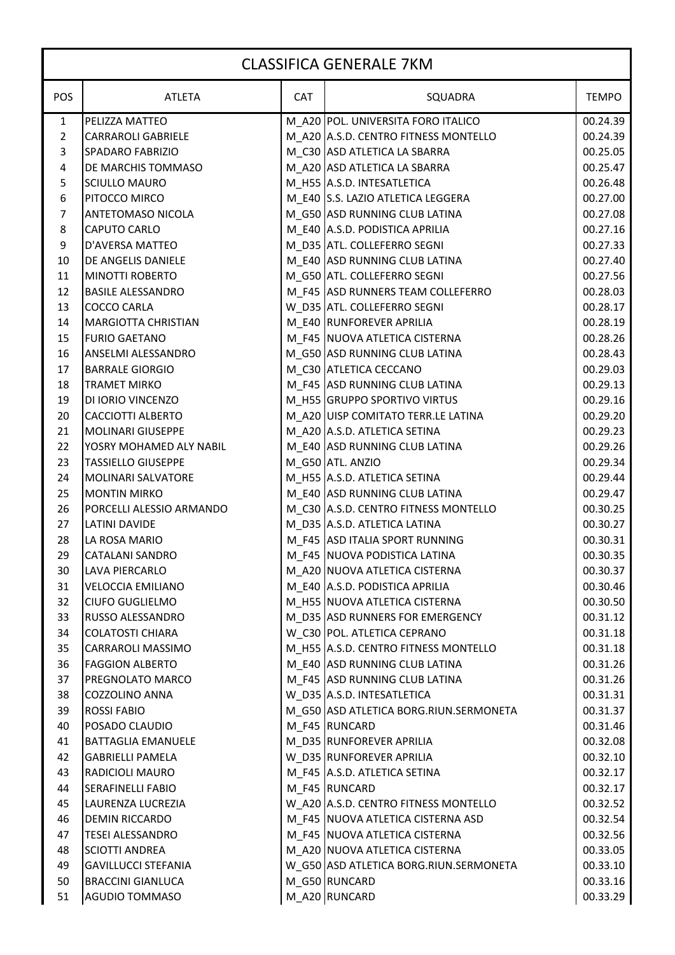## CLASSIFICA GENERALE 7KM

| <b>POS</b>              | <b>ATLETA</b>              | <b>CAT</b> | SQUADRA                                | <b>TEMPO</b> |
|-------------------------|----------------------------|------------|----------------------------------------|--------------|
| $\mathbf{1}$            | PELIZZA MATTEO             |            | M A20 POL. UNIVERSITA FORO ITALICO     | 00.24.39     |
| $\overline{2}$          | <b>CARRAROLI GABRIELE</b>  |            | M_A20 A.S.D. CENTRO FITNESS MONTELLO   | 00.24.39     |
| 3                       | <b>SPADARO FABRIZIO</b>    |            | M_C30 ASD ATLETICA LA SBARRA           | 00.25.05     |
| $\overline{\mathbf{4}}$ | DE MARCHIS TOMMASO         |            | M A20 ASD ATLETICA LA SBARRA           | 00.25.47     |
| 5                       | <b>SCIULLO MAURO</b>       |            | M H55 A.S.D. INTESATLETICA             | 00.26.48     |
| $\boldsymbol{6}$        | PITOCCO MIRCO              |            | M E40 S.S. LAZIO ATLETICA LEGGERA      | 00.27.00     |
| $\overline{7}$          | <b>ANTETOMASO NICOLA</b>   |            | M_G50 ASD RUNNING CLUB LATINA          | 00.27.08     |
| $\bf 8$                 | <b>CAPUTO CARLO</b>        |            | M_E40 A.S.D. PODISTICA APRILIA         | 00.27.16     |
| 9                       | D'AVERSA MATTEO            |            | M D35 ATL. COLLEFERRO SEGNI            | 00.27.33     |
| 10                      | DE ANGELIS DANIELE         |            | M_E40 ASD RUNNING CLUB LATINA          | 00.27.40     |
| 11                      | <b>MINOTTI ROBERTO</b>     |            | M_G50 ATL. COLLEFERRO SEGNI            | 00.27.56     |
| 12                      | <b>BASILE ALESSANDRO</b>   |            | M F45 ASD RUNNERS TEAM COLLEFERRO      | 00.28.03     |
| 13                      | <b>COCCO CARLA</b>         |            | W D35 ATL. COLLEFERRO SEGNI            | 00.28.17     |
| 14                      | <b>MARGIOTTA CHRISTIAN</b> |            | M E40 RUNFOREVER APRILIA               | 00.28.19     |
| 15                      | <b>FURIO GAETANO</b>       |            | M F45 NUOVA ATLETICA CISTERNA          | 00.28.26     |
| 16                      | <b>ANSELMI ALESSANDRO</b>  |            | M_G50 ASD RUNNING CLUB LATINA          | 00.28.43     |
| 17                      | <b>BARRALE GIORGIO</b>     |            | M C30 ATLETICA CECCANO                 | 00.29.03     |
| 18                      | <b>TRAMET MIRKO</b>        |            | M_F45 ASD RUNNING CLUB LATINA          | 00.29.13     |
| 19                      | DI IORIO VINCENZO          |            | M H55 GRUPPO SPORTIVO VIRTUS           | 00.29.16     |
| 20                      | <b>CACCIOTTI ALBERTO</b>   |            | M A20 UISP COMITATO TERR.LE LATINA     | 00.29.20     |
| 21                      | <b>MOLINARI GIUSEPPE</b>   |            | M_A20 A.S.D. ATLETICA SETINA           | 00.29.23     |
| 22                      | YOSRY MOHAMED ALY NABIL    |            | M_E40 ASD RUNNING CLUB LATINA          | 00.29.26     |
| 23                      | <b>TASSIELLO GIUSEPPE</b>  |            | M_G50 ATL. ANZIO                       | 00.29.34     |
| 24                      | MOLINARI SALVATORE         |            | M_H55 A.S.D. ATLETICA SETINA           | 00.29.44     |
| 25                      | <b>MONTIN MIRKO</b>        |            | M_E40 ASD RUNNING CLUB LATINA          | 00.29.47     |
| 26                      | PORCELLI ALESSIO ARMANDO   |            | M C30 A.S.D. CENTRO FITNESS MONTELLO   | 00.30.25     |
| 27                      | <b>LATINI DAVIDE</b>       |            | M D35 A.S.D. ATLETICA LATINA           | 00.30.27     |
| 28                      | LA ROSA MARIO              |            | M F45 ASD ITALIA SPORT RUNNING         | 00.30.31     |
| 29                      | CATALANI SANDRO            |            | M_F45 NUOVA PODISTICA LATINA           | 00.30.35     |
| 30                      | <b>LAVA PIERCARLO</b>      |            | M_A20 NUOVA ATLETICA CISTERNA          | 00.30.37     |
| 31                      | <b>VELOCCIA EMILIANO</b>   |            | M E40 A.S.D. PODISTICA APRILIA         | 00.30.46     |
| 32                      | <b>CIUFO GUGLIELMO</b>     |            | M H55 NUOVA ATLETICA CISTERNA          | 00.30.50     |
| 33                      | <b>RUSSO ALESSANDRO</b>    |            | M_D35 ASD RUNNERS FOR EMERGENCY        | 00.31.12     |
| 34                      | <b>COLATOSTI CHIARA</b>    |            | W C30 POL. ATLETICA CEPRANO            | 00.31.18     |
| 35                      | <b>CARRAROLI MASSIMO</b>   |            | M H55 A.S.D. CENTRO FITNESS MONTELLO   | 00.31.18     |
| 36                      | <b>FAGGION ALBERTO</b>     |            | M E40 ASD RUNNING CLUB LATINA          | 00.31.26     |
| 37                      | PREGNOLATO MARCO           |            | M F45 ASD RUNNING CLUB LATINA          | 00.31.26     |
| 38                      | <b>COZZOLINO ANNA</b>      |            | W D35 A.S.D. INTESATLETICA             | 00.31.31     |
| 39                      | <b>ROSSI FABIO</b>         |            | M G50 ASD ATLETICA BORG.RIUN.SERMONETA | 00.31.37     |
| 40                      | POSADO CLAUDIO             |            | M F45 RUNCARD                          | 00.31.46     |
| 41                      | <b>BATTAGLIA EMANUELE</b>  |            | M_D35 RUNFOREVER APRILIA               | 00.32.08     |
| 42                      | <b>GABRIELLI PAMELA</b>    |            | W_D35 RUNFOREVER APRILIA               | 00.32.10     |
| 43                      | RADICIOLI MAURO            |            | M F45 A.S.D. ATLETICA SETINA           | 00.32.17     |
| 44                      | <b>SERAFINELLI FABIO</b>   |            | M F45 RUNCARD                          | 00.32.17     |
| 45                      | LAURENZA LUCREZIA          |            | W A20 A.S.D. CENTRO FITNESS MONTELLO   | 00.32.52     |
| 46                      | <b>DEMIN RICCARDO</b>      |            | M F45 NUOVA ATLETICA CISTERNA ASD      | 00.32.54     |
| 47                      | <b>TESEI ALESSANDRO</b>    |            | M F45 NUOVA ATLETICA CISTERNA          | 00.32.56     |
| 48                      | <b>SCIOTTI ANDREA</b>      |            | M A20 NUOVA ATLETICA CISTERNA          | 00.33.05     |
| 49                      | <b>GAVILLUCCI STEFANIA</b> |            | W_G50 ASD ATLETICA BORG.RIUN.SERMONETA | 00.33.10     |
| 50                      | <b>BRACCINI GIANLUCA</b>   |            | M G50 RUNCARD                          | 00.33.16     |
| 51                      | <b>AGUDIO TOMMASO</b>      |            | M_A20 RUNCARD                          | 00.33.29     |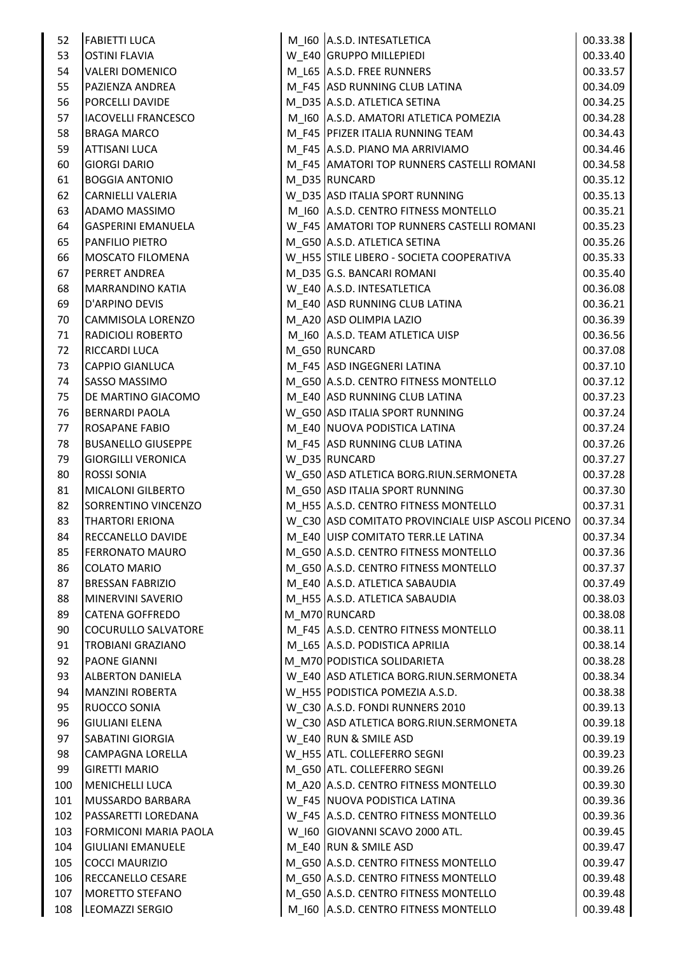| 52  | <b>FABIETTI LUCA</b>         | M_I60 A.S.D. INTESATLETICA                        | 00.33.38 |
|-----|------------------------------|---------------------------------------------------|----------|
| 53  | <b>OSTINI FLAVIA</b>         | W E40 GRUPPO MILLEPIEDI                           | 00.33.40 |
| 54  | <b>VALERI DOMENICO</b>       | M_L65 A.S.D. FREE RUNNERS                         | 00.33.57 |
| 55  | PAZIENZA ANDREA              | M_F45 ASD RUNNING CLUB LATINA                     | 00.34.09 |
| 56  | <b>PORCELLI DAVIDE</b>       | M_D35 A.S.D. ATLETICA SETINA                      | 00.34.25 |
| 57  | IACOVELLI FRANCESCO          | M_I60 A.S.D. AMATORI ATLETICA POMEZIA             | 00.34.28 |
| 58  | <b>BRAGA MARCO</b>           | M F45 PFIZER ITALIA RUNNING TEAM                  | 00.34.43 |
| 59  | <b>ATTISANI LUCA</b>         | M F45 A.S.D. PIANO MA ARRIVIAMO                   | 00.34.46 |
| 60  | <b>GIORGI DARIO</b>          | M_F45 AMATORI TOP RUNNERS CASTELLI ROMANI         | 00.34.58 |
| 61  | <b>BOGGIA ANTONIO</b>        | M_D35 RUNCARD                                     | 00.35.12 |
| 62  | <b>CARNIELLI VALERIA</b>     | W D35 ASD ITALIA SPORT RUNNING                    | 00.35.13 |
| 63  | ADAMO MASSIMO                | M 160 A.S.D. CENTRO FITNESS MONTELLO              | 00.35.21 |
| 64  | <b>GASPERINI EMANUELA</b>    | W_F45 AMATORI TOP RUNNERS CASTELLI ROMANI         | 00.35.23 |
| 65  | PANFILIO PIETRO              | M_G50 A.S.D. ATLETICA SETINA                      | 00.35.26 |
| 66  | <b>MOSCATO FILOMENA</b>      | W_H55 STILE LIBERO - SOCIETA COOPERATIVA          | 00.35.33 |
| 67  | <b>PERRET ANDREA</b>         | M D35 G.S. BANCARI ROMANI                         | 00.35.40 |
| 68  | <b>MARRANDINO KATIA</b>      | W E40 A.S.D. INTESATLETICA                        | 00.36.08 |
| 69  | D'ARPINO DEVIS               | M_E40 ASD RUNNING CLUB LATINA                     | 00.36.21 |
| 70  | <b>CAMMISOLA LORENZO</b>     | M A20 ASD OLIMPIA LAZIO                           | 00.36.39 |
| 71  | <b>RADICIOLI ROBERTO</b>     | M 160 A.S.D. TEAM ATLETICA UISP                   | 00.36.56 |
| 72  | <b>RICCARDI LUCA</b>         | M G50 RUNCARD                                     | 00.37.08 |
| 73  | <b>CAPPIO GIANLUCA</b>       | M F45 ASD INGEGNERI LATINA                        | 00.37.10 |
| 74  | SASSO MASSIMO                | M_G50 A.S.D. CENTRO FITNESS MONTELLO              | 00.37.12 |
| 75  | DE MARTINO GIACOMO           | M_E40 ASD RUNNING CLUB LATINA                     | 00.37.23 |
| 76  | <b>BERNARDI PAOLA</b>        | W_G50 ASD ITALIA SPORT RUNNING                    | 00.37.24 |
| 77  | <b>ROSAPANE FABIO</b>        | M_E40 NUOVA PODISTICA LATINA                      | 00.37.24 |
| 78  | <b>BUSANELLO GIUSEPPE</b>    | M F45 ASD RUNNING CLUB LATINA                     | 00.37.26 |
| 79  | <b>GIORGILLI VERONICA</b>    | W_D35 RUNCARD                                     | 00.37.27 |
| 80  | <b>ROSSI SONIA</b>           | W_G50 ASD ATLETICA BORG.RIUN.SERMONETA            | 00.37.28 |
| 81  | MICALONI GILBERTO            | M_G50 ASD ITALIA SPORT RUNNING                    | 00.37.30 |
| 82  | SORRENTINO VINCENZO          | M_H55 A.S.D. CENTRO FITNESS MONTELLO              | 00.37.31 |
| 83  | <b>THARTORI ERIONA</b>       | W C30 ASD COMITATO PROVINCIALE UISP ASCOLI PICENO | 00.37.34 |
| 84  | <b>RECCANELLO DAVIDE</b>     | M_E40 UISP COMITATO TERR.LE LATINA                | 00.37.34 |
| 85  | <b>FERRONATO MAURO</b>       | M_G50 A.S.D. CENTRO FITNESS MONTELLO              | 00.37.36 |
| 86  | <b>COLATO MARIO</b>          | M_G50 A.S.D. CENTRO FITNESS MONTELLO              | 00.37.37 |
| 87  | <b>BRESSAN FABRIZIO</b>      | M_E40 A.S.D. ATLETICA SABAUDIA                    | 00.37.49 |
| 88  | MINERVINI SAVERIO            | M H55 A.S.D. ATLETICA SABAUDIA                    | 00.38.03 |
| 89  | <b>CATENA GOFFREDO</b>       | M_M70 RUNCARD                                     | 00.38.08 |
| 90  | <b>COCURULLO SALVATORE</b>   | M F45 A.S.D. CENTRO FITNESS MONTELLO              | 00.38.11 |
| 91  | <b>TROBIANI GRAZIANO</b>     | M L65 A.S.D. PODISTICA APRILIA                    | 00.38.14 |
| 92  | <b>PAONE GIANNI</b>          | M M70 PODISTICA SOLIDARIETA                       | 00.38.28 |
| 93  | <b>ALBERTON DANIELA</b>      | W_E40 ASD ATLETICA BORG.RIUN.SERMONETA            | 00.38.34 |
| 94  | <b>MANZINI ROBERTA</b>       | W H55 PODISTICA POMEZIA A.S.D.                    | 00.38.38 |
| 95  | <b>RUOCCO SONIA</b>          | W_C30 A.S.D. FONDI RUNNERS 2010                   | 00.39.13 |
| 96  | <b>GIULIANI ELENA</b>        | W C30 ASD ATLETICA BORG.RIUN.SERMONETA            | 00.39.18 |
| 97  | <b>SABATINI GIORGIA</b>      | W E40 RUN & SMILE ASD                             | 00.39.19 |
| 98  | CAMPAGNA LORELLA             | W_H55 ATL. COLLEFERRO SEGNI                       | 00.39.23 |
| 99  | <b>GIRETTI MARIO</b>         | M_G50 ATL. COLLEFERRO SEGNI                       | 00.39.26 |
| 100 | MENICHELLI LUCA              | M A20 A.S.D. CENTRO FITNESS MONTELLO              | 00.39.30 |
| 101 | MUSSARDO BARBARA             | W_F45 NUOVA PODISTICA LATINA                      | 00.39.36 |
| 102 | PASSARETTI LOREDANA          | W F45 A.S.D. CENTRO FITNESS MONTELLO              | 00.39.36 |
| 103 | <b>FORMICONI MARIA PAOLA</b> | W 160 GIOVANNI SCAVO 2000 ATL.                    | 00.39.45 |
| 104 | <b>GIULIANI EMANUELE</b>     | M E40 RUN & SMILE ASD                             | 00.39.47 |
| 105 | COCCI MAURIZIO               | M_G50 A.S.D. CENTRO FITNESS MONTELLO              | 00.39.47 |
| 106 | <b>RECCANELLO CESARE</b>     | M_G50 A.S.D. CENTRO FITNESS MONTELLO              | 00.39.48 |
| 107 | <b>MORETTO STEFANO</b>       | M_G50 A.S.D. CENTRO FITNESS MONTELLO              | 00.39.48 |
| 108 | LEOMAZZI SERGIO              | M 160 A.S.D. CENTRO FITNESS MONTELLO              | 00.39.48 |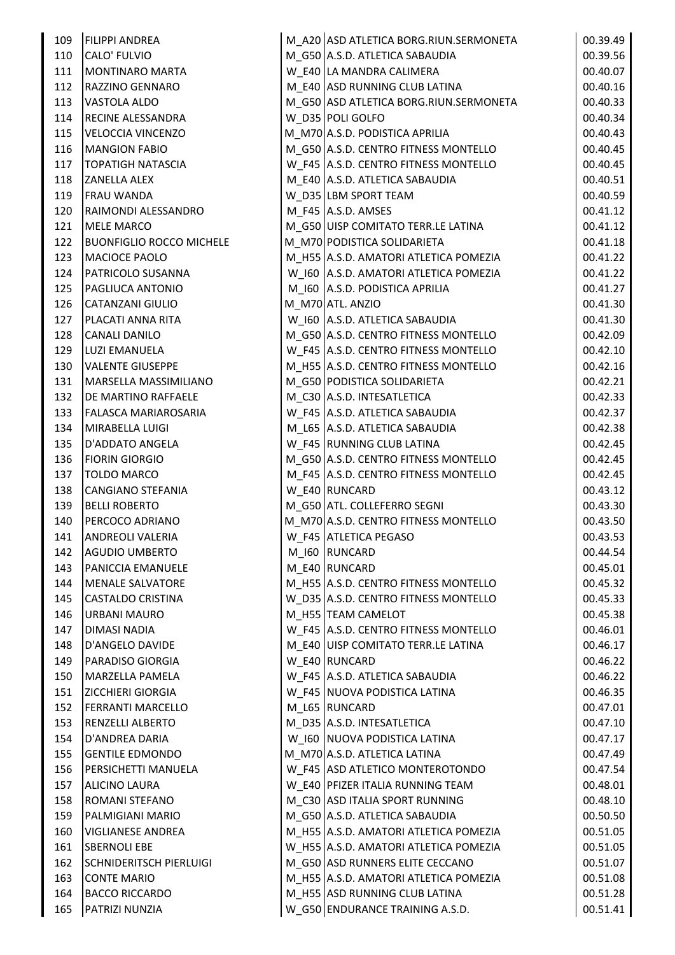| 109 | <b>FILIPPI ANDREA</b>           | M_A20 ASD ATLETICA BORG.RIUN.SERMONETA | 00.39.49 |
|-----|---------------------------------|----------------------------------------|----------|
| 110 | CALO' FULVIO                    | M_G50 A.S.D. ATLETICA SABAUDIA         | 00.39.56 |
| 111 | MONTINARO MARTA                 | W E40 LA MANDRA CALIMERA               | 00.40.07 |
| 112 | RAZZINO GENNARO                 | M_E40 ASD RUNNING CLUB LATINA          | 00.40.16 |
| 113 | <b>VASTOLA ALDO</b>             | M_G50 ASD ATLETICA BORG.RIUN.SERMONETA | 00.40.33 |
| 114 | <b>RECINE ALESSANDRA</b>        | W_D35 POLI GOLFO                       | 00.40.34 |
| 115 | <b>VELOCCIA VINCENZO</b>        | M_M70 A.S.D. PODISTICA APRILIA         | 00.40.43 |
| 116 | <b>MANGION FABIO</b>            | M_G50 A.S.D. CENTRO FITNESS MONTELLO   | 00.40.45 |
| 117 | <b>TOPATIGH NATASCIA</b>        | W_F45 A.S.D. CENTRO FITNESS MONTELLO   | 00.40.45 |
| 118 | <b>ZANELLA ALEX</b>             | M_E40 A.S.D. ATLETICA SABAUDIA         | 00.40.51 |
| 119 | <b>FRAU WANDA</b>               | W D35 LBM SPORT TEAM                   | 00.40.59 |
| 120 | RAIMONDI ALESSANDRO             | M F45 A.S.D. AMSES                     | 00.41.12 |
| 121 | <b>MELE MARCO</b>               | M_G50 UISP COMITATO TERR.LE LATINA     | 00.41.12 |
| 122 | <b>BUONFIGLIO ROCCO MICHELE</b> | M_M70 PODISTICA SOLIDARIETA            | 00.41.18 |
| 123 | MACIOCE PAOLO                   | M_H55 A.S.D. AMATORI ATLETICA POMEZIA  | 00.41.22 |
| 124 | PATRICOLO SUSANNA               | W_I60 A.S.D. AMATORI ATLETICA POMEZIA  | 00.41.22 |
| 125 | <b>PAGLIUCA ANTONIO</b>         | M_I60 A.S.D. PODISTICA APRILIA         | 00.41.27 |
| 126 | <b>CATANZANI GIULIO</b>         | M M70 ATL. ANZIO                       | 00.41.30 |
| 127 | PLACATI ANNA RITA               | W_I60 A.S.D. ATLETICA SABAUDIA         | 00.41.30 |
| 128 | <b>CANALI DANILO</b>            | M G50 A.S.D. CENTRO FITNESS MONTELLO   | 00.42.09 |
| 129 | LUZI EMANUELA                   | W_F45 A.S.D. CENTRO FITNESS MONTELLO   | 00.42.10 |
| 130 | <b>VALENTE GIUSEPPE</b>         | M_H55 A.S.D. CENTRO FITNESS MONTELLO   | 00.42.16 |
| 131 | MARSELLA MASSIMILIANO           | M_G50 PODISTICA SOLIDARIETA            | 00.42.21 |
| 132 | <b>DE MARTINO RAFFAELE</b>      | M_C30 A.S.D. INTESATLETICA             | 00.42.33 |
| 133 | <b>FALASCA MARIAROSARIA</b>     | W_F45 A.S.D. ATLETICA SABAUDIA         | 00.42.37 |
| 134 | MIRABELLA LUIGI                 | M_L65 A.S.D. ATLETICA SABAUDIA         | 00.42.38 |
| 135 | D'ADDATO ANGELA                 | W F45 RUNNING CLUB LATINA              | 00.42.45 |
| 136 | <b>FIORIN GIORGIO</b>           | M_G50 A.S.D. CENTRO FITNESS MONTELLO   | 00.42.45 |
| 137 | <b>TOLDO MARCO</b>              | M_F45 A.S.D. CENTRO FITNESS MONTELLO   | 00.42.45 |
| 138 | CANGIANO STEFANIA               | W E40 RUNCARD                          | 00.43.12 |
| 139 | <b>BELLI ROBERTO</b>            | M_G50 ATL. COLLEFERRO SEGNI            | 00.43.30 |
| 140 | PERCOCO ADRIANO                 | M_M70 A.S.D. CENTRO FITNESS MONTELLO   | 00.43.50 |
|     | 141   ANDREOLI VALERIA          | W_F45 ATLETICA PEGASO                  | 00.43.53 |
| 142 | AGUDIO UMBERTO                  | M_I60 RUNCARD                          | 00.44.54 |
| 143 | PANICCIA EMANUELE               | M_E40 RUNCARD                          | 00.45.01 |
| 144 | MENALE SALVATORE                | M_H55 A.S.D. CENTRO FITNESS MONTELLO   | 00.45.32 |
| 145 | <b>CASTALDO CRISTINA</b>        | W D35 A.S.D. CENTRO FITNESS MONTELLO   | 00.45.33 |
| 146 | <b>URBANI MAURO</b>             | M_H55 TEAM CAMELOT                     | 00.45.38 |
| 147 | <b>DIMASI NADIA</b>             | W F45 A.S.D. CENTRO FITNESS MONTELLO   | 00.46.01 |
| 148 | D'ANGELO DAVIDE                 | M_E40 UISP COMITATO TERR.LE LATINA     | 00.46.17 |
| 149 | PARADISO GIORGIA                | W_E40 RUNCARD                          | 00.46.22 |
| 150 | MARZELLA PAMELA                 | W_F45 A.S.D. ATLETICA SABAUDIA         | 00.46.22 |
| 151 | <b>ZICCHIERI GIORGIA</b>        | W F45 NUOVA PODISTICA LATINA           | 00.46.35 |
| 152 | <b>FERRANTI MARCELLO</b>        | M L65 RUNCARD                          | 00.47.01 |
| 153 | <b>RENZELLI ALBERTO</b>         | M_D35 A.S.D. INTESATLETICA             | 00.47.10 |
| 154 | D'ANDREA DARIA                  | W 160 NUOVA PODISTICA LATINA           | 00.47.17 |
| 155 | <b>GENTILE EDMONDO</b>          | M_M70 A.S.D. ATLETICA LATINA           | 00.47.49 |
| 156 | PERSICHETTI MANUELA             | W_F45 ASD ATLETICO MONTEROTONDO        | 00.47.54 |
| 157 | <b>ALICINO LAURA</b>            | W E40 PFIZER ITALIA RUNNING TEAM       | 00.48.01 |
| 158 | <b>ROMANI STEFANO</b>           | M_C30 ASD ITALIA SPORT RUNNING         | 00.48.10 |
| 159 | PALMIGIANI MARIO                | M G50 A.S.D. ATLETICA SABAUDIA         | 00.50.50 |
| 160 | <b>VIGLIANESE ANDREA</b>        | M_H55 A.S.D. AMATORI ATLETICA POMEZIA  | 00.51.05 |
| 161 | <b>SBERNOLI EBE</b>             | W_H55 A.S.D. AMATORI ATLETICA POMEZIA  | 00.51.05 |
| 162 | <b>SCHNIDERITSCH PIERLUIGI</b>  | M_G50 ASD RUNNERS ELITE CECCANO        | 00.51.07 |
| 163 | <b>CONTE MARIO</b>              | M H55 A.S.D. AMATORI ATLETICA POMEZIA  | 00.51.08 |
| 164 | <b>BACCO RICCARDO</b>           | M_H55 ASD RUNNING CLUB LATINA          | 00.51.28 |
| 165 | PATRIZI NUNZIA                  | W_G50 ENDURANCE TRAINING A.S.D.        | 00.51.41 |